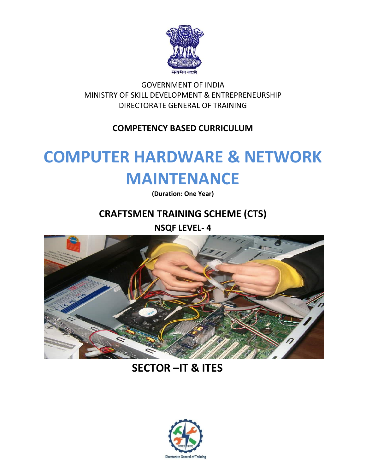

GOVERNMENT OF INDIA MINISTRY OF SKILL DEVELOPMENT & ENTREPRENEURSHIP DIRECTORATE GENERAL OF TRAINING

## **COMPETENCY BASED CURRICULUM**

## **COMPUTER HARDWARE & NETWORK MAINTENANCE**

**(Duration: One Year)**

## **CRAFTSMEN TRAINING SCHEME (CTS)**

**NSQF LEVEL- 4**



## **SECTOR –IT & ITES**

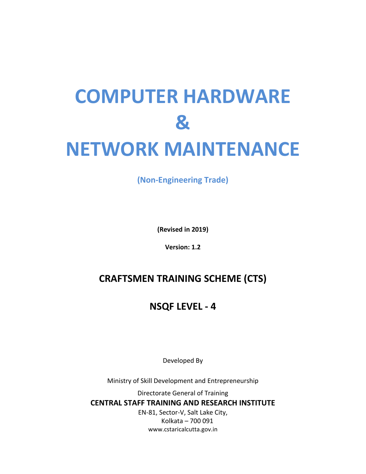# **COMPUTER HARDWARE & NETWORK MAINTENANCE**

**(Non-Engineering Trade)**

**(Revised in 2019)**

**Version: 1.2**

## **CRAFTSMEN TRAINING SCHEME (CTS)**

## **NSQF LEVEL - 4**

Developed By

Ministry of Skill Development and Entrepreneurship

Directorate General of Training **CENTRAL STAFF TRAINING AND RESEARCH INSTITUTE** EN-81, Sector-V, Salt Lake City, Kolkata – 700 091

www.cstaricalcutta.gov.in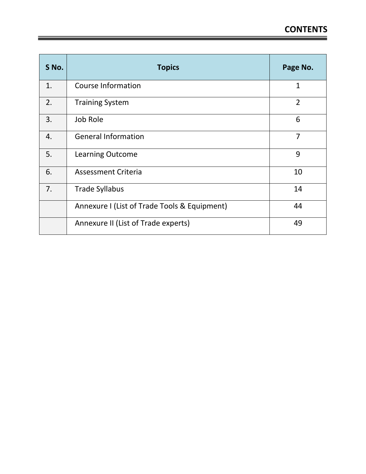| S No. | <b>Topics</b>                                | Page No.       |
|-------|----------------------------------------------|----------------|
| 1.    | <b>Course Information</b>                    | $\mathbf{1}$   |
| 2.    | <b>Training System</b>                       | $\overline{2}$ |
| 3.    | Job Role                                     | 6              |
| 4.    | <b>General Information</b>                   | $\overline{7}$ |
| 5.    | <b>Learning Outcome</b>                      | 9              |
| 6.    | <b>Assessment Criteria</b>                   | 10             |
| 7.    | <b>Trade Syllabus</b>                        | 14             |
|       | Annexure I (List of Trade Tools & Equipment) | 44             |
|       | Annexure II (List of Trade experts)          | 49             |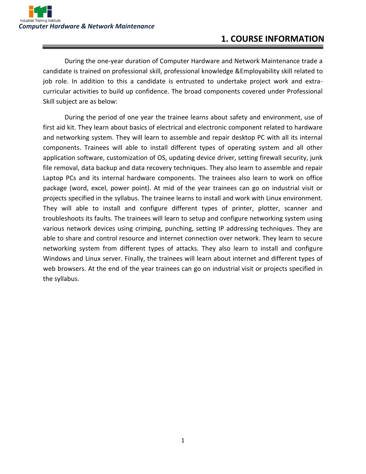## **1. COURSE INFORMATION**

During the one-year duration of Computer Hardware and Network Maintenance trade a candidate is trained on professional skill, professional knowledge &Employability skill related to job role. In addition to this a candidate is entrusted to undertake project work and extracurricular activities to build up confidence. The broad components covered under Professional Skill subject are as below:

During the period of one year the trainee learns about safety and environment, use of first aid kit. They learn about basics of electrical and electronic component related to hardware and networking system. They will learn to assemble and repair desktop PC with all its internal components. Trainees will able to install different types of operating system and all other application software, customization of OS, updating device driver, setting firewall security, junk file removal, data backup and data recovery techniques. They also learn to assemble and repair Laptop PCs and its internal hardware components. The trainees also learn to work on office package (word, excel, power point). At mid of the year trainees can go on industrial visit or projects specified in the syllabus. The trainee learns to install and work with Linux environment. They will able to install and configure different types of printer, plotter, scanner and troubleshoots its faults. The trainees will learn to setup and configure networking system using various network devices using crimping, punching, setting IP addressing techniques. They are able to share and control resource and internet connection over network. They learn to secure networking system from different types of attacks. They also learn to install and configure Windows and Linux server. Finally, the trainees will learn about internet and different types of web browsers. At the end of the year trainees can go on industrial visit or projects specified in the syllabus.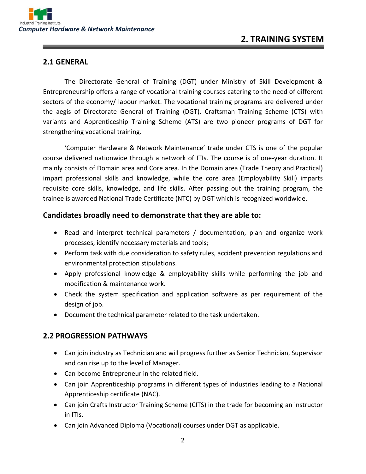#### **2.1 GENERAL**

The Directorate General of Training (DGT) under Ministry of Skill Development & Entrepreneurship offers a range of vocational training courses catering to the need of different sectors of the economy/ labour market. The vocational training programs are delivered under the aegis of Directorate General of Training (DGT). Craftsman Training Scheme (CTS) with variants and Apprenticeship Training Scheme (ATS) are two pioneer programs of DGT for strengthening vocational training.

'Computer Hardware & Network Maintenance' trade under CTS is one of the popular course delivered nationwide through a network of ITIs. The course is of one-year duration. It mainly consists of Domain area and Core area. In the Domain area (Trade Theory and Practical) impart professional skills and knowledge, while the core area (Employability Skill) imparts requisite core skills, knowledge, and life skills. After passing out the training program, the trainee is awarded National Trade Certificate (NTC) by DGT which is recognized worldwide.

#### **Candidates broadly need to demonstrate that they are able to:**

- Read and interpret technical parameters / documentation, plan and organize work processes, identify necessary materials and tools;
- Perform task with due consideration to safety rules, accident prevention regulations and environmental protection stipulations.
- Apply professional knowledge & employability skills while performing the job and modification & maintenance work.
- Check the system specification and application software as per requirement of the design of job.
- Document the technical parameter related to the task undertaken.

#### **2.2 PROGRESSION PATHWAYS**

- Can join industry as Technician and will progress further as Senior Technician, Supervisor and can rise up to the level of Manager.
- Can become Entrepreneur in the related field.
- Can join Apprenticeship programs in different types of industries leading to a National Apprenticeship certificate (NAC).
- Can join Crafts Instructor Training Scheme (CITS) in the trade for becoming an instructor in ITIs.
- Can join Advanced Diploma (Vocational) courses under DGT as applicable.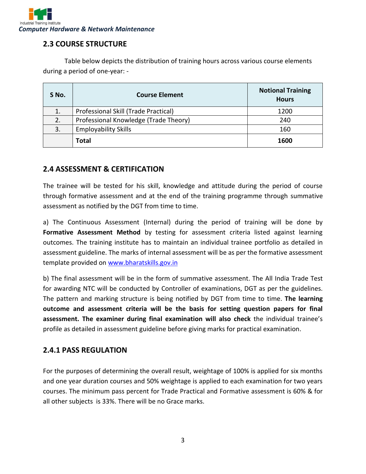

#### **2.3 COURSE STRUCTURE**

Table below depicts the distribution of training hours across various course elements during a period of one-year: -

| S No. | <b>Course Element</b>                 | <b>Notional Training</b><br><b>Hours</b> |
|-------|---------------------------------------|------------------------------------------|
|       | Professional Skill (Trade Practical)  | 1200                                     |
| 2.    | Professional Knowledge (Trade Theory) | 240                                      |
| 3.    | <b>Employability Skills</b>           | 160                                      |
|       | <b>Total</b>                          | 1600                                     |

#### **2.4 ASSESSMENT & CERTIFICATION**

The trainee will be tested for his skill, knowledge and attitude during the period of course through formative assessment and at the end of the training programme through summative assessment as notified by the DGT from time to time.

a) The Continuous Assessment (Internal) during the period of training will be done by **Formative Assessment Method** by testing for assessment criteria listed against learning outcomes. The training institute has to maintain an individual trainee portfolio as detailed in assessment guideline. The marks of internal assessment will be as per the formative assessment template provided on [www.bharatskills.gov.in](http://www.bharatskills.gov.in/)

b) The final assessment will be in the form of summative assessment. The All India Trade Test for awarding NTC will be conducted by Controller of examinations, DGT as per the guidelines. The pattern and marking structure is being notified by DGT from time to time. **The learning outcome and assessment criteria will be the basis for setting question papers for final assessment. The examiner during final examination will also check** the individual trainee's profile as detailed in assessment guideline before giving marks for practical examination.

#### **2.4.1 PASS REGULATION**

For the purposes of determining the overall result, weightage of 100% is applied for six months and one year duration courses and 50% weightage is applied to each examination for two years courses. The minimum pass percent for Trade Practical and Formative assessment is 60% & for all other subjects is 33%. There will be no Grace marks.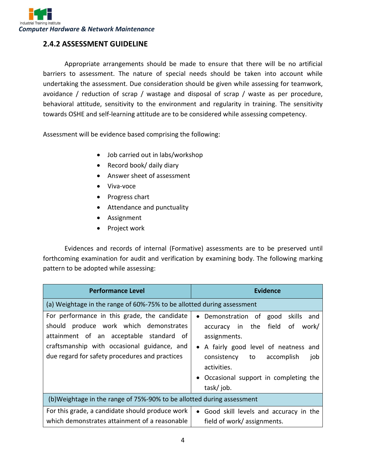#### **2.4.2 ASSESSMENT GUIDELINE**

Appropriate arrangements should be made to ensure that there will be no artificial barriers to assessment. The nature of special needs should be taken into account while undertaking the assessment. Due consideration should be given while assessing for teamwork, avoidance / reduction of scrap / wastage and disposal of scrap / waste as per procedure, behavioral attitude, sensitivity to the environment and regularity in training. The sensitivity towards OSHE and self-learning attitude are to be considered while assessing competency.

Assessment will be evidence based comprising the following:

- Job carried out in labs/workshop
- Record book/ daily diary
- Answer sheet of assessment
- Viva-voce
- Progress chart
- Attendance and punctuality
- Assignment
- Project work

Evidences and records of internal (Formative) assessments are to be preserved until forthcoming examination for audit and verification by examining body. The following marking pattern to be adopted while assessing:

| <b>Performance Level</b>                                                                                                                                                                                                              | <b>Evidence</b>                                                                                                                                                                                                                                                          |  |  |
|---------------------------------------------------------------------------------------------------------------------------------------------------------------------------------------------------------------------------------------|--------------------------------------------------------------------------------------------------------------------------------------------------------------------------------------------------------------------------------------------------------------------------|--|--|
| (a) Weightage in the range of 60%-75% to be allotted during assessment                                                                                                                                                                |                                                                                                                                                                                                                                                                          |  |  |
| For performance in this grade, the candidate<br>produce work which demonstrates<br>should<br>attainment of an acceptable standard of<br>craftsmanship with occasional guidance, and<br>due regard for safety procedures and practices | good skills<br>Demonstration of<br>and<br>field<br>accuracy in the<br>of<br>work/<br>assignments.<br>A fairly good level of neatness<br>and<br>$\bullet$<br>consistency<br>to<br>accomplish<br>job<br>activities.<br>• Occasional support in completing the<br>task/job. |  |  |
| (b) Weightage in the range of 75%-90% to be allotted during assessment                                                                                                                                                                |                                                                                                                                                                                                                                                                          |  |  |
| For this grade, a candidate should produce work<br>which demonstrates attainment of a reasonable                                                                                                                                      | Good skill levels and accuracy in the<br>$\bullet$<br>field of work/ assignments.                                                                                                                                                                                        |  |  |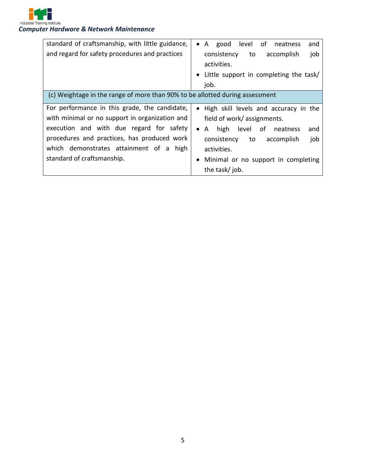

*Computer Hardware & Network Maintenance*

| standard of craftsmanship, with little guidance,                             | level of<br>A<br>good<br>and<br>neatness<br>$\bullet$ |  |  |
|------------------------------------------------------------------------------|-------------------------------------------------------|--|--|
| and regard for safety procedures and practices                               | consistency<br>to<br>accomplish<br>job                |  |  |
|                                                                              | activities.                                           |  |  |
|                                                                              | Little support in completing the task/                |  |  |
|                                                                              | job.                                                  |  |  |
| (c) Weightage in the range of more than 90% to be allotted during assessment |                                                       |  |  |
| For performance in this grade, the candidate,                                | • High skill levels and accuracy in the               |  |  |
| with minimal or no support in organization and                               | field of work/ assignments.                           |  |  |
| execution and with due regard for safety                                     | level of neatness<br>A high<br>and<br>$\bullet$       |  |  |
| procedures and practices, has produced work                                  | consistency<br>to<br>accomplish<br>job                |  |  |
| which demonstrates attainment of a high                                      | activities.                                           |  |  |
| standard of craftsmanship.                                                   | Minimal or no support in completing                   |  |  |
|                                                                              | the task/job.                                         |  |  |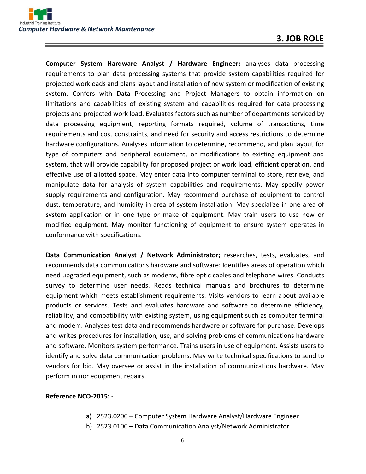**Computer System Hardware Analyst / Hardware Engineer;** analyses data processing requirements to plan data processing systems that provide system capabilities required for projected workloads and plans layout and installation of new system or modification of existing system. Confers with Data Processing and Project Managers to obtain information on limitations and capabilities of existing system and capabilities required for data processing projects and projected work load. Evaluates factors such as number of departments serviced by data processing equipment, reporting formats required, volume of transactions, time requirements and cost constraints, and need for security and access restrictions to determine hardware configurations. Analyses information to determine, recommend, and plan layout for type of computers and peripheral equipment, or modifications to existing equipment and system, that will provide capability for proposed project or work load, efficient operation, and effective use of allotted space. May enter data into computer terminal to store, retrieve, and manipulate data for analysis of system capabilities and requirements. May specify power supply requirements and configuration. May recommend purchase of equipment to control dust, temperature, and humidity in area of system installation. May specialize in one area of system application or in one type or make of equipment. May train users to use new or modified equipment. May monitor functioning of equipment to ensure system operates in conformance with specifications.

**Data Communication Analyst / Network Administrator;** researches, tests, evaluates, and recommends data communications hardware and software: Identifies areas of operation which need upgraded equipment, such as modems, fibre optic cables and telephone wires. Conducts survey to determine user needs. Reads technical manuals and brochures to determine equipment which meets establishment requirements. Visits vendors to learn about available products or services. Tests and evaluates hardware and software to determine efficiency, reliability, and compatibility with existing system, using equipment such as computer terminal and modem. Analyses test data and recommends hardware or software for purchase. Develops and writes procedures for installation, use, and solving problems of communications hardware and software. Monitors system performance. Trains users in use of equipment. Assists users to identify and solve data communication problems. May write technical specifications to send to vendors for bid. May oversee or assist in the installation of communications hardware. May perform minor equipment repairs.

#### **Reference NCO-2015: -**

- a) 2523.0200 Computer System Hardware Analyst/Hardware Engineer
- b) 2523.0100 Data Communication Analyst/Network Administrator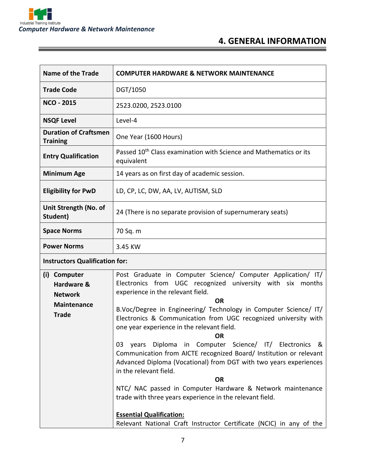

and the control of the control of the control of the control of the control of

## **4. GENERAL INFORMATION**

| <b>Name of the Trade</b>                                                                                                                                                                                                                                                                                                                                                                                                                                                                                                                                                                                                                                                                                                                                                                                                                          | <b>COMPUTER HARDWARE &amp; NETWORK MAINTENANCE</b>                                                     |  |  |
|---------------------------------------------------------------------------------------------------------------------------------------------------------------------------------------------------------------------------------------------------------------------------------------------------------------------------------------------------------------------------------------------------------------------------------------------------------------------------------------------------------------------------------------------------------------------------------------------------------------------------------------------------------------------------------------------------------------------------------------------------------------------------------------------------------------------------------------------------|--------------------------------------------------------------------------------------------------------|--|--|
| <b>Trade Code</b>                                                                                                                                                                                                                                                                                                                                                                                                                                                                                                                                                                                                                                                                                                                                                                                                                                 | DGT/1050                                                                                               |  |  |
| <b>NCO - 2015</b>                                                                                                                                                                                                                                                                                                                                                                                                                                                                                                                                                                                                                                                                                                                                                                                                                                 | 2523.0200, 2523.0100                                                                                   |  |  |
| <b>NSQF Level</b>                                                                                                                                                                                                                                                                                                                                                                                                                                                                                                                                                                                                                                                                                                                                                                                                                                 | Level-4                                                                                                |  |  |
| <b>Duration of Craftsmen</b><br><b>Training</b>                                                                                                                                                                                                                                                                                                                                                                                                                                                                                                                                                                                                                                                                                                                                                                                                   | One Year (1600 Hours)                                                                                  |  |  |
| <b>Entry Qualification</b>                                                                                                                                                                                                                                                                                                                                                                                                                                                                                                                                                                                                                                                                                                                                                                                                                        | Passed 10 <sup>th</sup> Class examination with Science and Mathematics or its<br>equivalent            |  |  |
| <b>Minimum Age</b>                                                                                                                                                                                                                                                                                                                                                                                                                                                                                                                                                                                                                                                                                                                                                                                                                                | 14 years as on first day of academic session.                                                          |  |  |
| <b>Eligibility for PwD</b>                                                                                                                                                                                                                                                                                                                                                                                                                                                                                                                                                                                                                                                                                                                                                                                                                        | LD, CP, LC, DW, AA, LV, AUTISM, SLD                                                                    |  |  |
| Unit Strength (No. of<br>Student)                                                                                                                                                                                                                                                                                                                                                                                                                                                                                                                                                                                                                                                                                                                                                                                                                 | 24 (There is no separate provision of supernumerary seats)                                             |  |  |
| <b>Space Norms</b>                                                                                                                                                                                                                                                                                                                                                                                                                                                                                                                                                                                                                                                                                                                                                                                                                                | 70 Sq. m                                                                                               |  |  |
| <b>Power Norms</b>                                                                                                                                                                                                                                                                                                                                                                                                                                                                                                                                                                                                                                                                                                                                                                                                                                | 3.45 KW                                                                                                |  |  |
| <b>Instructors Qualification for:</b>                                                                                                                                                                                                                                                                                                                                                                                                                                                                                                                                                                                                                                                                                                                                                                                                             |                                                                                                        |  |  |
| Post Graduate in Computer Science/ Computer Application/ IT/<br>(i) Computer<br>Electronics from UGC recognized university with six months<br>Hardware &<br>experience in the relevant field.<br><b>Network</b><br><b>OR</b><br><b>Maintenance</b><br>B.Voc/Degree in Engineering/ Technology in Computer Science/ IT/<br><b>Trade</b><br>Electronics & Communication from UGC recognized university with<br>one year experience in the relevant field.<br><b>OR</b><br>Diploma in Computer Science/ IT/ Electronics &<br>03<br>years<br>Communication from AICTE recognized Board/ Institution or relevant<br>Advanced Diploma (Vocational) from DGT with two years experiences<br>in the relevant field.<br><b>OR</b><br>NTC/ NAC passed in Computer Hardware & Network maintenance<br>trade with three years experience in the relevant field. |                                                                                                        |  |  |
|                                                                                                                                                                                                                                                                                                                                                                                                                                                                                                                                                                                                                                                                                                                                                                                                                                                   | <b>Essential Qualification:</b><br>Relevant National Craft Instructor Certificate (NCIC) in any of the |  |  |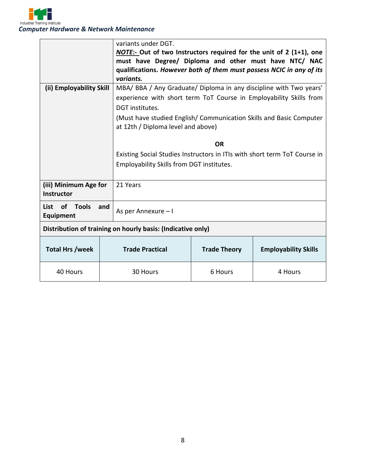

|                                                             | variants under DGT.                                                |                                                                            |                             |  |
|-------------------------------------------------------------|--------------------------------------------------------------------|----------------------------------------------------------------------------|-----------------------------|--|
|                                                             |                                                                    | <b>NOTE:-</b> Out of two Instructors required for the unit of 2 (1+1), one |                             |  |
|                                                             |                                                                    | must have Degree/ Diploma and other must have NTC/ NAC                     |                             |  |
|                                                             |                                                                    | qualifications. However both of them must possess NCIC in any of its       |                             |  |
| variants.                                                   |                                                                    |                                                                            |                             |  |
| (ii) Employability Skill                                    | MBA/ BBA / Any Graduate/ Diploma in any discipline with Two years' |                                                                            |                             |  |
|                                                             |                                                                    | experience with short term ToT Course in Employability Skills from         |                             |  |
|                                                             |                                                                    | DGT institutes.                                                            |                             |  |
|                                                             |                                                                    | (Must have studied English/ Communication Skills and Basic Computer        |                             |  |
|                                                             | at 12th / Diploma level and above)                                 |                                                                            |                             |  |
|                                                             |                                                                    |                                                                            |                             |  |
|                                                             |                                                                    | <b>OR</b>                                                                  |                             |  |
|                                                             |                                                                    | Existing Social Studies Instructors in ITIs with short term ToT Course in  |                             |  |
|                                                             |                                                                    | Employability Skills from DGT institutes.                                  |                             |  |
|                                                             |                                                                    |                                                                            |                             |  |
| (iii) Minimum Age for                                       | 21 Years                                                           |                                                                            |                             |  |
| <b>Instructor</b>                                           |                                                                    |                                                                            |                             |  |
| <b>of</b><br>Tools<br>List<br>and                           |                                                                    |                                                                            |                             |  |
| <b>Equipment</b>                                            | As per Annexure - I                                                |                                                                            |                             |  |
| Distribution of training on hourly basis: (Indicative only) |                                                                    |                                                                            |                             |  |
|                                                             |                                                                    |                                                                            |                             |  |
| <b>Total Hrs /week</b>                                      | <b>Trade Practical</b>                                             | <b>Trade Theory</b>                                                        | <b>Employability Skills</b> |  |
| 40 Hours                                                    | 30 Hours                                                           | 6 Hours                                                                    | 4 Hours                     |  |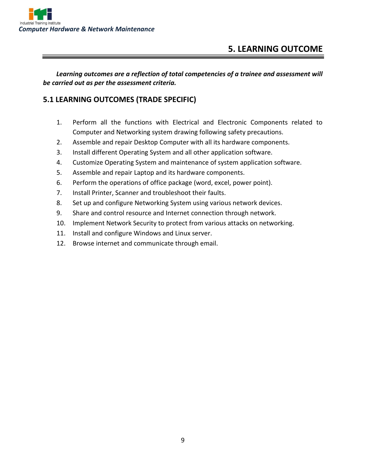

## **5. LEARNING OUTCOME**

*Learning outcomes are a reflection of total competencies of a trainee and assessment will be carried out as per the assessment criteria.*

#### **5.1 LEARNING OUTCOMES (TRADE SPECIFIC)**

- 1. Perform all the functions with Electrical and Electronic Components related to Computer and Networking system drawing following safety precautions.
- 2. Assemble and repair Desktop Computer with all its hardware components.
- 3. Install different Operating System and all other application software.
- 4. Customize Operating System and maintenance of system application software.
- 5. Assemble and repair Laptop and its hardware components.
- 6. Perform the operations of office package (word, excel, power point).
- 7. Install Printer, Scanner and troubleshoot their faults.
- 8. Set up and configure Networking System using various network devices.
- 9. Share and control resource and Internet connection through network.
- 10. Implement Network Security to protect from various attacks on networking.
- 11. Install and configure Windows and Linux server.
- 12. Browse internet and communicate through email.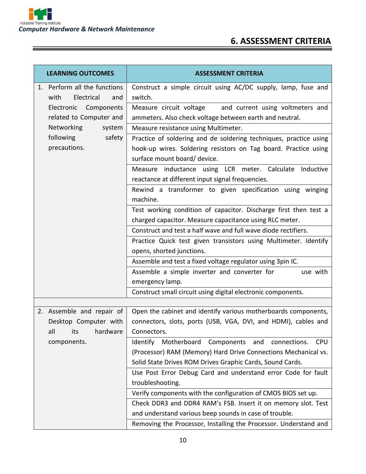## **6. ASSESSMENT CRITERIA**

| <b>LEARNING OUTCOMES</b>     | <b>ASSESSMENT CRITERIA</b>                                           |  |  |
|------------------------------|----------------------------------------------------------------------|--|--|
| 1. Perform all the functions | Construct a simple circuit using AC/DC supply, lamp, fuse and        |  |  |
| Electrical<br>with<br>and    | switch.                                                              |  |  |
| Electronic Components        | Measure circuit voltage<br>and current using voltmeters and          |  |  |
| related to Computer and      | ammeters. Also check voltage between earth and neutral.              |  |  |
| <b>Networking</b><br>system  | Measure resistance using Multimeter.                                 |  |  |
| following<br>safety          | Practice of soldering and de soldering techniques, practice using    |  |  |
| precautions.                 | hook-up wires. Soldering resistors on Tag board. Practice using      |  |  |
|                              | surface mount board/ device.                                         |  |  |
|                              | Measure inductance using LCR meter. Calculate<br>Inductive           |  |  |
|                              | reactance at different input signal frequencies.                     |  |  |
|                              | Rewind a transformer to given specification using winging            |  |  |
|                              | machine.                                                             |  |  |
|                              | Test working condition of capacitor. Discharge first then test a     |  |  |
|                              | charged capacitor. Measure capacitance using RLC meter.              |  |  |
|                              | Construct and test a half wave and full wave diode rectifiers.       |  |  |
|                              | Practice Quick test given transistors using Multimeter. Identify     |  |  |
|                              | opens, shorted junctions.                                            |  |  |
|                              | Assemble and test a fixed voltage regulator using 3pin IC.           |  |  |
|                              | Assemble a simple inverter and converter for<br>use with             |  |  |
|                              | emergency lamp.                                                      |  |  |
|                              | Construct small circuit using digital electronic components.         |  |  |
|                              |                                                                      |  |  |
| 2. Assemble and repair of    | Open the cabinet and identify various motherboards components,       |  |  |
| Desktop Computer with        | connectors, slots, ports (USB, VGA, DVI, and HDMI), cables and       |  |  |
| hardware<br>all<br>its i     | Connectors.                                                          |  |  |
| components.                  | Identify Motherboard<br>Components and<br><b>CPU</b><br>connections. |  |  |
|                              | (Processor) RAM (Memory) Hard Drive Connections Mechanical vs.       |  |  |
|                              | Solid State Drives ROM Drives Graphic Cards, Sound Cards.            |  |  |
|                              | Use Post Error Debug Card and understand error Code for fault        |  |  |
|                              | troubleshooting.                                                     |  |  |
|                              | Verify components with the configuration of CMOS BIOS set up.        |  |  |
|                              | Check DDR3 and DDR4 RAM's FSB. Insert it on memory slot. Test        |  |  |
|                              | and understand various beep sounds in case of trouble.               |  |  |
|                              | Removing the Processor, Installing the Processor. Understand and     |  |  |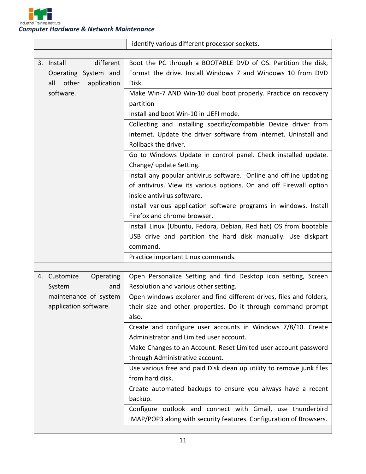

*Computer Hardware & Network Maintenance*

|                             | identify various different processor sockets.                        |
|-----------------------------|----------------------------------------------------------------------|
|                             |                                                                      |
| different<br>3. Install     | Boot the PC through a BOOTABLE DVD of OS. Partition the disk,        |
| Operating System and        | Format the drive. Install Windows 7 and Windows 10 from DVD          |
| other<br>all<br>application | Disk.                                                                |
| software.                   | Make Win-7 AND Win-10 dual boot properly. Practice on recovery       |
|                             | partition                                                            |
|                             | Install and boot Win-10 in UEFI mode.                                |
|                             | Collecting and installing specific/compatible Device driver from     |
|                             | internet. Update the driver software from internet. Uninstall and    |
|                             | Rollback the driver.                                                 |
|                             | Go to Windows Update in control panel. Check installed update.       |
|                             | Change/ update Setting.                                              |
|                             | Install any popular antivirus software. Online and offline updating  |
|                             | of antivirus. View its various options. On and off Firewall option   |
|                             | inside antivirus software.                                           |
|                             | Install various application software programs in windows. Install    |
|                             | Firefox and chrome browser.                                          |
|                             | Install Linux (Ubuntu, Fedora, Debian, Red hat) OS from bootable     |
|                             | USB drive and partition the hard disk manually. Use diskpart         |
|                             | command.                                                             |
|                             | Practice important Linux commands.                                   |
|                             |                                                                      |
| 4. Customize<br>Operating   | Open Personalize Setting and find Desktop icon setting, Screen       |
| System<br>and               | Resolution and various other setting.                                |
| maintenance of system       | Open windows explorer and find different drives, files and folders,  |
| application software.       | their size and other properties. Do it through command prompt        |
|                             | also.                                                                |
|                             | Create and configure user accounts in Windows 7/8/10. Create         |
|                             | Administrator and Limited user account.                              |
|                             | Make Changes to an Account. Reset Limited user account password      |
|                             | through Administrative account.                                      |
|                             | Use various free and paid Disk clean up utility to remove junk files |
|                             | from hard disk.                                                      |
|                             | Create automated backups to ensure you always have a recent          |
|                             | backup.                                                              |
|                             | Configure outlook and connect with Gmail, use thunderbird            |
|                             | IMAP/POP3 along with security features. Configuration of Browsers.   |
|                             |                                                                      |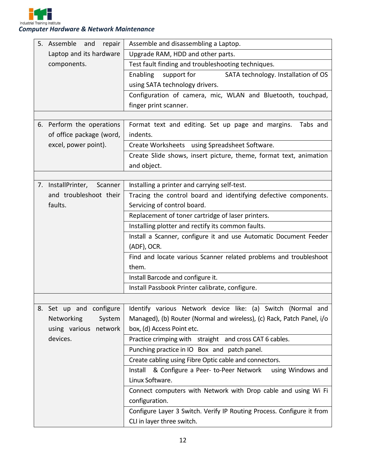

| 5.<br>Assemble<br>repair<br>and | Assemble and disassembling a Laptop.                                             |  |  |
|---------------------------------|----------------------------------------------------------------------------------|--|--|
| Laptop and its hardware         | Upgrade RAM, HDD and other parts.                                                |  |  |
| components.                     | Test fault finding and troubleshooting techniques.                               |  |  |
|                                 | Enabling<br>SATA technology. Installation of OS<br>support for                   |  |  |
|                                 | using SATA technology drivers.                                                   |  |  |
|                                 | Configuration of camera, mic, WLAN and Bluetooth, touchpad,                      |  |  |
|                                 | finger print scanner.                                                            |  |  |
|                                 |                                                                                  |  |  |
| 6. Perform the operations       | Format text and editing. Set up page and margins.<br>Tabs and                    |  |  |
| of office package (word,        | indents.<br>Create Worksheets using Spreadsheet Software.                        |  |  |
| excel, power point).            |                                                                                  |  |  |
|                                 | Create Slide shows, insert picture, theme, format text, animation                |  |  |
|                                 | and object.                                                                      |  |  |
| 7. InstallPrinter,              | Installing a printer and carrying self-test.<br>Scanner                          |  |  |
| and troubleshoot their          | Tracing the control board and identifying defective components.                  |  |  |
| faults.                         | Servicing of control board.                                                      |  |  |
|                                 | Replacement of toner cartridge of laser printers.                                |  |  |
|                                 | Installing plotter and rectify its common faults.                                |  |  |
|                                 | Install a Scanner, configure it and use Automatic Document Feeder                |  |  |
|                                 | (ADF), OCR.                                                                      |  |  |
|                                 | Find and locate various Scanner related problems and troubleshoot                |  |  |
|                                 | them.                                                                            |  |  |
|                                 | Install Barcode and configure it.                                                |  |  |
|                                 | Install Passbook Printer calibrate, configure.                                   |  |  |
|                                 |                                                                                  |  |  |
| 8. Set up and configure         | Identify various Network device like: (a) Switch (Normal and                     |  |  |
| Networking                      | Managed), (b) Router (Normal and wireless), (c) Rack, Patch Panel, i/o<br>System |  |  |
| using various network           | box, (d) Access Point etc.                                                       |  |  |
| devices.                        | Practice crimping with straight and cross CAT 6 cables.                          |  |  |
|                                 | Punching practice in IO Box and patch panel.                                     |  |  |
|                                 | Create cabling using Fibre Optic cable and connectors.                           |  |  |
|                                 | Install & Configure a Peer- to-Peer Network<br>using Windows and                 |  |  |
|                                 | Linux Software.                                                                  |  |  |
|                                 | Connect computers with Network with Drop cable and using Wi Fi                   |  |  |
|                                 | configuration.                                                                   |  |  |
|                                 | Configure Layer 3 Switch. Verify IP Routing Process. Configure it from           |  |  |
|                                 | CLI in layer three switch.                                                       |  |  |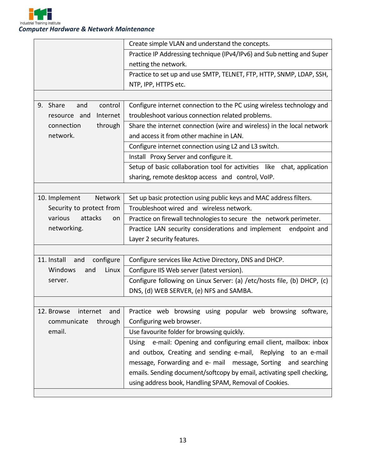

|                                 | Create simple VLAN and understand the concepts.                         |  |
|---------------------------------|-------------------------------------------------------------------------|--|
|                                 | Practice IP Addressing technique (IPv4/IPv6) and Sub netting and Super  |  |
|                                 | netting the network.                                                    |  |
|                                 | Practice to set up and use SMTP, TELNET, FTP, HTTP, SNMP, LDAP, SSH,    |  |
|                                 | NTP, IPP, HTTPS etc.                                                    |  |
|                                 |                                                                         |  |
| 9. Share<br>and<br>control      | Configure internet connection to the PC using wireless technology and   |  |
| Internet<br>resource and        | troubleshoot various connection related problems.                       |  |
| through<br>connection           | Share the internet connection (wire and wireless) in the local network  |  |
| network.                        | and access it from other machine in LAN.                                |  |
|                                 | Configure internet connection using L2 and L3 switch.                   |  |
|                                 | Install Proxy Server and configure it.                                  |  |
|                                 | Setup of basic collaboration tool for activities like chat, application |  |
|                                 | sharing, remote desktop access and control, VoIP.                       |  |
|                                 |                                                                         |  |
| Network<br>10. Implement        | Set up basic protection using public keys and MAC address filters.      |  |
| Security to protect from        | Troubleshoot wired and wireless network.                                |  |
| various<br>attacks<br>on        | Practice on firewall technologies to secure the network perimeter.      |  |
| networking.                     | Practice LAN security considerations and implement<br>endpoint and      |  |
|                                 | Layer 2 security features.                                              |  |
|                                 |                                                                         |  |
| 11. Install<br>configure<br>and | Configure services like Active Directory, DNS and DHCP.                 |  |
| Windows<br>Linux<br>and         | Configure IIS Web server (latest version).                              |  |
| server.                         | Configure following on Linux Server: (a) /etc/hosts file, (b) DHCP, (c) |  |
|                                 | DNS, (d) WEB SERVER, (e) NFS and SAMBA.                                 |  |
|                                 |                                                                         |  |
| 12. Browse<br>internet<br>and   | Practice web browsing using popular web browsing software,              |  |
| communicate<br>through          | Configuring web browser.                                                |  |
| email.                          | Use favourite folder for browsing quickly.                              |  |
|                                 | Using e-mail: Opening and configuring email client, mailbox: inbox      |  |
|                                 | and outbox, Creating and sending e-mail, Replying to an e-mail          |  |
|                                 | message, Forwarding and e- mail message, Sorting<br>and searching       |  |
|                                 | emails. Sending document/softcopy by email, activating spell checking,  |  |
|                                 | using address book, Handling SPAM, Removal of Cookies.                  |  |
|                                 |                                                                         |  |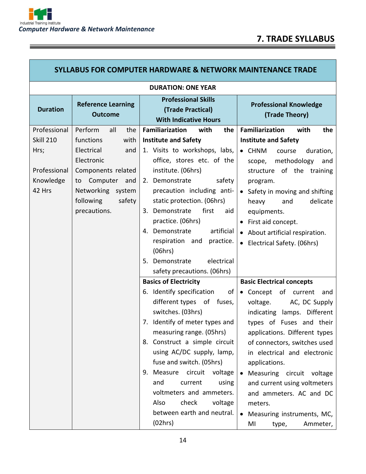and the control of the control of the control of the control of the control of the control of

| <b>SYLLABUS FOR COMPUTER HARDWARE &amp; NETWORK MAINTENANCE TRADE</b> |                                             |                                                                                 |                                                 |
|-----------------------------------------------------------------------|---------------------------------------------|---------------------------------------------------------------------------------|-------------------------------------------------|
| <b>DURATION: ONE YEAR</b>                                             |                                             |                                                                                 |                                                 |
| <b>Duration</b>                                                       | <b>Reference Learning</b><br><b>Outcome</b> | <b>Professional Skills</b><br>(Trade Practical)<br><b>With Indicative Hours</b> | <b>Professional Knowledge</b><br>(Trade Theory) |
| Professional                                                          | Perform<br>all<br>the                       | <b>Familiarization</b><br>with<br>the                                           | <b>Familiarization</b><br>with<br>the           |
| <b>Skill 210</b>                                                      | functions<br>with                           | <b>Institute and Safety</b>                                                     | <b>Institute and Safety</b>                     |
| Hrs;                                                                  | Electrical<br>and                           | 1. Visits to workshops, labs,                                                   | • CHNM<br>duration,<br>course                   |
|                                                                       | Electronic                                  | office, stores etc. of the                                                      | methodology<br>and<br>scope,                    |
| Professional                                                          | Components related                          | institute. (06hrs)                                                              | structure of the training                       |
| Knowledge                                                             | to Computer<br>and                          | 2. Demonstrate<br>safety                                                        | program.                                        |
| 42 Hrs                                                                | Networking system                           | precaution including anti-                                                      | Safety in moving and shifting                   |
|                                                                       | following<br>safety<br>precautions.         | static protection. (06hrs)<br>Demonstrate<br>first<br>aid<br>3.                 | delicate<br>and<br>heavy                        |
|                                                                       |                                             | practice. (06hrs)                                                               | equipments.                                     |
|                                                                       |                                             | 4. Demonstrate<br>artificial                                                    | First aid concept.                              |
|                                                                       |                                             | practice.<br>respiration and                                                    | • About artificial respiration.                 |
|                                                                       |                                             | (06hrs)                                                                         | • Electrical Safety. (06hrs)                    |
|                                                                       |                                             | 5. Demonstrate<br>electrical                                                    |                                                 |
|                                                                       |                                             | safety precautions. (06hrs)                                                     |                                                 |
|                                                                       |                                             | <b>Basics of Electricity</b>                                                    | <b>Basic Electrical concepts</b>                |
|                                                                       |                                             | 6. Identify specification<br>of                                                 | • Concept of current<br>and                     |
|                                                                       |                                             | different types of fuses,                                                       | voltage.<br>AC, DC Supply                       |
|                                                                       |                                             | switches. (03hrs)                                                               | indicating lamps. Different                     |
|                                                                       |                                             | 7. Identify of meter types and                                                  | types of Fuses and their                        |
|                                                                       |                                             | measuring range. (05hrs)                                                        | applications. Different types                   |
|                                                                       |                                             | 8. Construct a simple circuit                                                   | of connectors, switches used                    |
|                                                                       |                                             | using AC/DC supply, lamp,                                                       | in electrical and electronic                    |
|                                                                       |                                             | fuse and switch. (05hrs)                                                        | applications.                                   |
|                                                                       |                                             | 9. Measure circuit<br>voltage                                                   | Measuring circuit voltage                       |
|                                                                       |                                             | and<br>current<br>using                                                         | and current using voltmeters                    |
|                                                                       |                                             | voltmeters and ammeters.                                                        | and ammeters. AC and DC                         |
|                                                                       |                                             | Also<br>check<br>voltage                                                        | meters.                                         |
|                                                                       |                                             | between earth and neutral.                                                      | Measuring instruments, MC,                      |
|                                                                       |                                             | (02hrs)                                                                         | MI<br>Ammeter,<br>type,                         |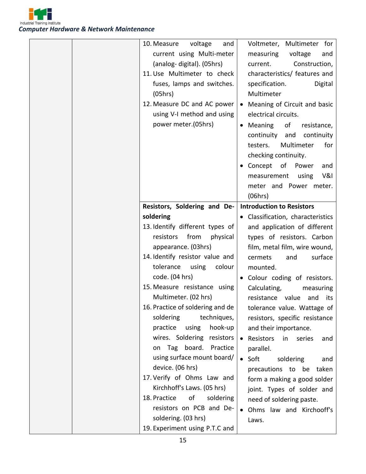

| 10. Measure<br>voltage<br>and    | Voltmeter, Multimeter for                   |
|----------------------------------|---------------------------------------------|
| current using Multi-meter        | measuring<br>voltage<br>and                 |
| (analog-digital). (05hrs)        | Construction,<br>current.                   |
| 11. Use Multimeter to check      | characteristics/ features and               |
| fuses, lamps and switches.       | specification.<br>Digital                   |
| (05hrs)                          | Multimeter                                  |
| 12. Measure DC and AC power      | Meaning of Circuit and basic                |
| using V-I method and using       | electrical circuits.                        |
| power meter.(05hrs)              | • Meaning<br>of<br>resistance,              |
|                                  | continuity and<br>continuity                |
|                                  | Multimeter<br>testers.<br>for               |
|                                  | checking continuity.                        |
|                                  | Concept of Power<br>and                     |
|                                  | V&I<br>using<br>measurement                 |
|                                  | meter and Power meter.                      |
|                                  |                                             |
|                                  | (06hrs)<br><b>Introduction to Resistors</b> |
| Resistors, Soldering and De-     |                                             |
| soldering                        | • Classification, characteristics           |
| 13. Identify different types of  | and application of different                |
| from<br>resistors<br>physical    | types of resistors. Carbon                  |
| appearance. (03hrs)              | film, metal film, wire wound,               |
| 14. Identify resistor value and  | surface<br>cermets<br>and                   |
| tolerance<br>using<br>colour     | mounted.                                    |
| code. (04 hrs)                   | • Colour coding of resistors.               |
|                                  |                                             |
| 15. Measure resistance using     | Calculating,<br>measuring                   |
| Multimeter. (02 hrs)             | resistance value and its                    |
| 16. Practice of soldering and de | tolerance value. Wattage of                 |
| soldering<br>techniques,         | resistors, specific resistance              |
| hook-up<br>practice<br>using     | and their importance.                       |
| wires. Soldering resistors       | • Resistors<br>in<br>series<br>and          |
| on Tag board. Practice           | parallel.                                   |
| using surface mount board/       | Soft<br>soldering<br>$\bullet$<br>and       |
| device. (06 hrs)                 | precautions to be taken                     |
| 17. Verify of Ohms Law and       | form a making a good solder                 |
| Kirchhoff's Laws. (05 hrs)       | joint. Types of solder and                  |
| 18. Practice<br>of<br>soldering  | need of soldering paste.                    |
| resistors on PCB and De-         | Ohms law and Kirchooff's                    |
| soldering. (03 hrs)              | Laws.                                       |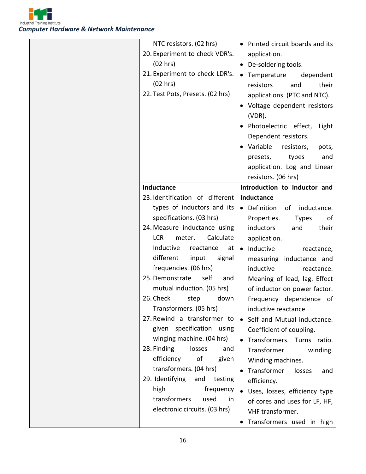

| NTC resistors. (02 hrs)<br>20. Experiment to check VDR's.<br>(02 hrs)<br>21. Experiment to check LDR's.<br>(02 hrs)<br>22. Test Pots, Presets. (02 hrs)                                                                                                                                                                                                                                                                                                                                                                                                                                             | • Printed circuit boards and its<br>application.<br>• De-soldering tools.<br>• Temperature<br>dependent<br>resistors<br>their<br>and<br>applications. (PTC and NTC).<br>• Voltage dependent resistors<br>$(VDR)$ .<br>· Photoelectric effect, Light<br>Dependent resistors.<br>• Variable<br>resistors,<br>pots,<br>presets,<br>types<br>and<br>application. Log and Linear<br>resistors. (06 hrs)                                                                                                                              |
|-----------------------------------------------------------------------------------------------------------------------------------------------------------------------------------------------------------------------------------------------------------------------------------------------------------------------------------------------------------------------------------------------------------------------------------------------------------------------------------------------------------------------------------------------------------------------------------------------------|---------------------------------------------------------------------------------------------------------------------------------------------------------------------------------------------------------------------------------------------------------------------------------------------------------------------------------------------------------------------------------------------------------------------------------------------------------------------------------------------------------------------------------|
| Inductance                                                                                                                                                                                                                                                                                                                                                                                                                                                                                                                                                                                          | Introduction to Inductor and                                                                                                                                                                                                                                                                                                                                                                                                                                                                                                    |
| 23. Identification of different<br>types of inductors and its<br>specifications. (03 hrs)<br>24. Measure inductance using<br>Calculate<br><b>LCR</b><br>meter.<br>Inductive<br>reactance<br>at<br>different<br>input<br>signal<br>frequencies. (06 hrs)<br>25. Demonstrate<br>self<br>and<br>mutual induction. (05 hrs)<br>26. Check<br>step<br>down<br>Transformers. (05 hrs)<br>27. Rewind a transformer to<br>given specification using<br>winging machine. (04 hrs)<br>28. Finding<br>losses<br>and<br>efficiency<br>οf<br>given<br>transformers. (04 hrs)<br>29. Identifying<br>and<br>testing | Inductance<br>• Definition<br>of inductance.<br>Properties.<br><b>Types</b><br>of<br>inductors<br>their<br>and<br>application.<br>• Inductive<br>reactance,<br>measuring inductance and<br>inductive<br>reactance.<br>Meaning of lead, lag. Effect<br>of inductor on power factor.<br>Frequency dependence of<br>inductive reactance.<br>• Self and Mutual inductance.<br>Coefficient of coupling.<br>Transformers. Turns ratio.<br>Transformer<br>winding.<br>Winding machines.<br>Transformer<br>losses<br>and<br>efficiency. |
| high<br>frequency<br>transformers<br>used<br>in<br>electronic circuits. (03 hrs)                                                                                                                                                                                                                                                                                                                                                                                                                                                                                                                    | • Uses, losses, efficiency type<br>of cores and uses for LF, HF,<br>VHF transformer.<br>Transformers used in high                                                                                                                                                                                                                                                                                                                                                                                                               |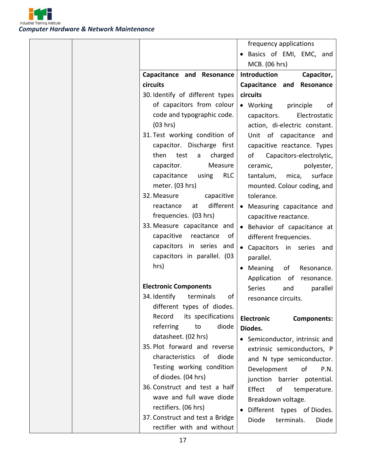

|                                    | frequency applications                  |
|------------------------------------|-----------------------------------------|
|                                    | Basics of EMI, EMC, and                 |
|                                    | MCB. (06 hrs)                           |
| Capacitance and Resonance          | Introduction<br>Capacitor,              |
| circuits                           | Capacitance and<br>Resonance            |
| 30. Identify of different types    | circuits                                |
| of capacitors from colour          | $\bullet$ Working<br>principle<br>of    |
| code and typographic code.         | Electrostatic<br>capacitors.            |
| (03 hrs)                           | action, di-electric constant.           |
| 31. Test working condition of      | Unit of capacitance and                 |
| capacitor. Discharge first         | capacitive reactance. Types             |
| then<br>test<br>charged<br>a       | of<br>Capacitors-electrolytic,          |
| capacitor.<br>Measure              | ceramic,<br>polyester,                  |
| capacitance<br>using<br><b>RLC</b> | mica,<br>surface<br>tantalum,           |
| meter. (03 hrs)                    | mounted. Colour coding, and             |
| 32. Measure<br>capacitive          | tolerance.                              |
| different  <br>reactance<br>at     | Measuring capacitance and<br>$\bullet$  |
| frequencies. (03 hrs)              | capacitive reactance.                   |
| 33. Measure capacitance and        | Behavior of capacitance at              |
| capacitive reactance<br>of I       | different frequencies.                  |
| capacitors in series and           | • Capacitors in series and              |
| capacitors in parallel. (03        | parallel.                               |
| hrs)                               | Meaning<br>of<br>Resonance.             |
|                                    | Application of<br>resonance.            |
| <b>Electronic Components</b>       | Series<br>and<br>parallel               |
| 34. Identify<br>terminals<br>of    | resonance circuits.                     |
| different types of diodes.         |                                         |
| its specifications<br>Record       | <b>Electronic</b><br><b>Components:</b> |
| diode<br>referring<br>to           | Diodes.                                 |
| datasheet. (02 hrs)                | • Semiconductor, intrinsic and          |
| 35. Plot forward and reverse       | extrinsic semiconductors, P             |
| characteristics of<br>diode        | and N type semiconductor.               |
| Testing working condition          | Development of<br>P.N.                  |
| of diodes. (04 hrs)                | junction barrier potential.             |
| 36. Construct and test a half      | Effect<br>of<br>temperature.            |
| wave and full wave diode           | Breakdown voltage.                      |
| rectifiers. (06 hrs)               | Different types of Diodes.              |
| 37. Construct and test a Bridge    | Diode<br>terminals.<br>Diode            |
| rectifier with and without         |                                         |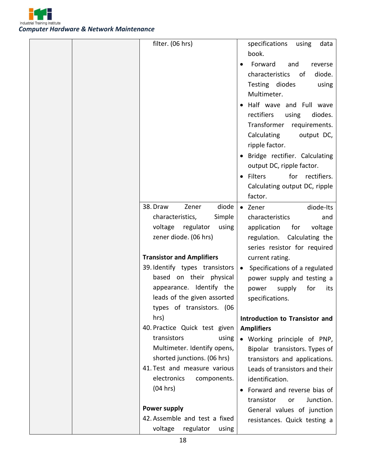

| filter. (06 hrs)                 | specifications using<br>data    |
|----------------------------------|---------------------------------|
|                                  | book.                           |
|                                  | Forward<br>and<br>reverse       |
|                                  | characteristics<br>diode.<br>of |
|                                  | Testing diodes<br>using         |
|                                  | Multimeter.                     |
|                                  | Half wave and Full wave         |
|                                  | rectifiers<br>using<br>diodes.  |
|                                  | Transformer<br>requirements.    |
|                                  | Calculating<br>output DC,       |
|                                  | ripple factor.                  |
|                                  | Bridge rectifier. Calculating   |
|                                  | output DC, ripple factor.       |
|                                  | for rectifiers.<br>• Filters    |
|                                  | Calculating output DC, ripple   |
|                                  | factor.                         |
| diode<br>38. Draw<br>Zener       | • Zener<br>diode-Its            |
| characteristics,<br>Simple       | characteristics<br>and          |
| voltage regulator<br>using       | application for<br>voltage      |
| zener diode. (06 hrs)            | regulation. Calculating the     |
|                                  | series resistor for required    |
| <b>Transistor and Amplifiers</b> | current rating.                 |
| 39. Identify types transistors   | Specifications of a regulated   |
| based on their physical          | power supply and testing a      |
| appearance. Identify the         | supply<br>for<br>power<br>its   |
| leads of the given assorted      | specifications.                 |
| types of transistors. (06        |                                 |
| hrs)                             | Introduction to Transistor and  |
| 40. Practice Quick test given    | <b>Amplifiers</b>               |
| transistors<br>using             | • Working principle of PNP,     |
| Multimeter. Identify opens,      | Bipolar transistors. Types of   |
| shorted junctions. (06 hrs)      | transistors and applications.   |
| 41. Test and measure various     | Leads of transistors and their  |
| electronics<br>components.       | identification.                 |
| (04 hrs)                         | Forward and reverse bias of     |
|                                  | transistor<br>Junction.<br>or   |
| <b>Power supply</b>              | General values of junction      |
| 42. Assemble and test a fixed    | resistances. Quick testing a    |
| voltage<br>regulator<br>using    |                                 |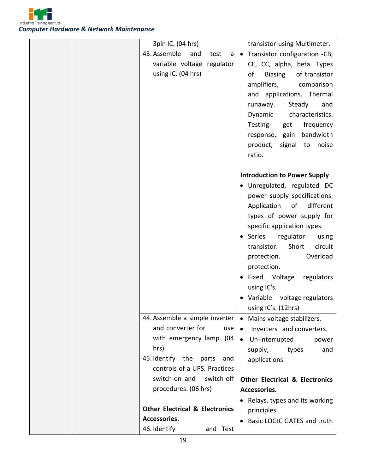

| 3pin IC. (04 hrs)                         | transistor-using Multimeter.              |
|-------------------------------------------|-------------------------------------------|
| 43. Assemble<br>and<br>test<br>a          | Transistor configuration -CB,             |
| variable voltage regulator                | CE, CC, alpha, beta. Types                |
| using IC. (04 hrs)                        | <b>Biasing</b><br>of transistor<br>of     |
|                                           | amplifiers, comparison                    |
|                                           | and applications. Thermal                 |
|                                           | Steady<br>runaway.<br>and                 |
|                                           | Dynamic characteristics.                  |
|                                           | Testing-<br>frequency<br>get              |
|                                           | response, gain bandwidth                  |
|                                           | product,<br>signal to<br>noise            |
|                                           | ratio.                                    |
|                                           |                                           |
|                                           | <b>Introduction to Power Supply</b>       |
|                                           | · Unregulated, regulated DC               |
|                                           | power supply specifications.              |
|                                           | different<br>Application<br>of            |
|                                           | types of power supply for                 |
|                                           | specific application types.               |
|                                           | • Series<br>regulator<br>using            |
|                                           | circuit<br>transistor.<br>Short           |
|                                           | Overload<br>protection.                   |
|                                           | protection.                               |
|                                           | • Fixed Voltage<br>regulators             |
|                                           | using IC's.                               |
|                                           | Variable voltage regulators               |
|                                           | using IC's. (12hrs)                       |
| 44. Assemble a simple inverter            | • Mains voltage stabilizers.              |
| and converter for<br>use                  | Inverters and converters.                 |
| with emergency lamp. (04                  | Un-interrupted<br>$\bullet$<br>power      |
| hrs)                                      | and<br>supply,<br>types                   |
| 45. Identify the parts<br>and             | applications.                             |
| controls of a UPS. Practices              |                                           |
| switch-on and<br>switch-off               | <b>Other Electrical &amp; Electronics</b> |
| procedures. (06 hrs)                      | Accessories.                              |
|                                           | • Relays, types and its working           |
| <b>Other Electrical &amp; Electronics</b> | principles.                               |
| Accessories.                              | <b>Basic LOGIC GATES and truth</b>        |
| 46. Identify<br>and Test                  |                                           |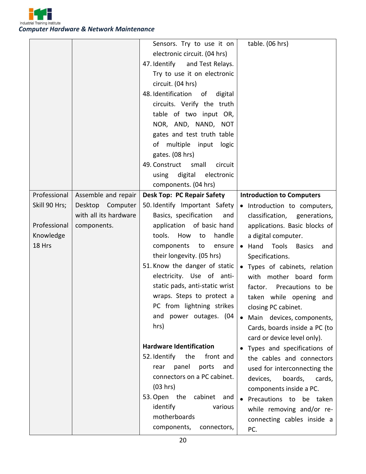

|               |                       | Sensors. Try to use it on           | table. (06 hrs)                      |
|---------------|-----------------------|-------------------------------------|--------------------------------------|
|               |                       | electronic circuit. (04 hrs)        |                                      |
|               |                       | 47. Identify and Test Relays.       |                                      |
|               |                       | Try to use it on electronic         |                                      |
|               |                       | circuit. (04 hrs)                   |                                      |
|               |                       | 48. Identification<br>of<br>digital |                                      |
|               |                       | circuits. Verify the truth          |                                      |
|               |                       | table of two input OR,              |                                      |
|               |                       | NOR, AND, NAND, NOT                 |                                      |
|               |                       | gates and test truth table          |                                      |
|               |                       | of multiple input logic             |                                      |
|               |                       | gates. (08 hrs)                     |                                      |
|               |                       | small<br>49. Construct<br>circuit   |                                      |
|               |                       | using digital<br>electronic         |                                      |
|               |                       | components. (04 hrs)                |                                      |
| Professional  | Assemble and repair   | <b>Desk Top: PC Repair Safety</b>   | <b>Introduction to Computers</b>     |
| Skill 90 Hrs; | Desktop Computer      | 50. Identify Important Safety       | · Introduction to computers,         |
|               | with all its hardware | Basics, specification<br>and        | classification, generations,         |
| Professional  | components.           | application of basic hand           | applications. Basic blocks of        |
| Knowledge     |                       | tools.<br>How<br>handle<br>to       | a digital computer.                  |
| 18 Hrs        |                       | components<br>to<br>ensure          | • Hand Tools<br><b>Basics</b><br>and |
|               |                       | their longevity. (05 hrs)           | Specifications.                      |
|               |                       | 51. Know the danger of static       | • Types of cabinets, relation        |
|               |                       | electricity. Use of anti-           | with mother board form               |
|               |                       | static pads, anti-static wrist      | factor. Precautions to be            |
|               |                       | wraps. Steps to protect a           | taken while opening and              |
|               |                       | PC from lightning strikes           | closing PC cabinet.                  |
|               |                       | and power outages. (04              | • Main devices, components,          |
|               |                       | hrs)                                | Cards, boards inside a PC (to        |
|               |                       |                                     | card or device level only).          |
|               |                       | <b>Hardware Identification</b>      | Types and specifications of          |
|               |                       | 52. Identify<br>the<br>front and    | the cables and connectors            |
|               |                       | rear panel<br>ports<br>and          | used for interconnecting the         |
|               |                       | connectors on a PC cabinet.         | boards,<br>devices,<br>cards,        |
|               |                       | (03 hrs)                            | components inside a PC.              |
|               |                       | 53. Open the cabinet<br>and         | Precautions to be taken              |
|               |                       | identify<br>various                 | while removing and/or re-            |
|               |                       | motherboards                        | connecting cables inside a           |
|               |                       | components,<br>connectors,          | PC.                                  |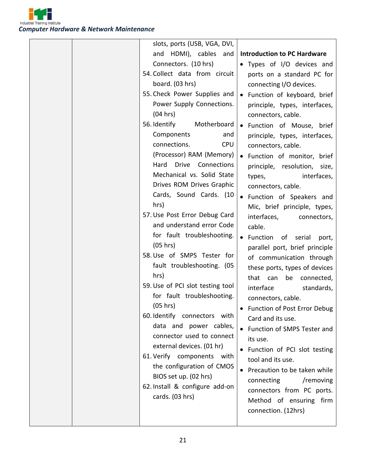

| slots, ports (USB, VGA, DVI,     |                                           |
|----------------------------------|-------------------------------------------|
| and HDMI), cables and            | <b>Introduction to PC Hardware</b>        |
| Connectors. (10 hrs)             | • Types of I/O devices and                |
| 54. Collect data from circuit    | ports on a standard PC for                |
| board. (03 hrs)                  | connecting I/O devices.                   |
| 55. Check Power Supplies and     | • Function of keyboard, brief             |
| Power Supply Connections.        | principle, types, interfaces,             |
| (04 hrs)                         | connectors, cable.                        |
| 56. Identify<br>Motherboard      | • Function of Mouse, brief                |
| Components<br>and                | principle, types, interfaces,             |
| connections.<br><b>CPU</b>       | connectors, cable.                        |
| (Processor) RAM (Memory)         | • Function of monitor, brief              |
| Drive Connections<br>Hard        | principle, resolution, size,              |
| Mechanical vs. Solid State       | interfaces,<br>types,                     |
| Drives ROM Drives Graphic        | connectors, cable.                        |
| Cards, Sound Cards. (10          | • Function of Speakers and                |
| hrs)                             | Mic, brief principle, types,              |
| 57. Use Post Error Debug Card    | interfaces,<br>connectors,                |
| and understand error Code        | cable.                                    |
| for fault troubleshooting.       | • Function of serial<br>port,             |
| (05 hrs)                         | parallel port, brief principle            |
| 58. Use of SMPS Tester for       | of communication through                  |
| fault troubleshooting. (05       | these ports, types of devices             |
| hrs)                             | that can<br>be<br>connected,              |
| 59. Use of PCI slot testing tool | interface<br>standards,                   |
| for fault troubleshooting.       | connectors, cable.                        |
| (05 hrs)                         | Function of Post Error Debug              |
| 60. Identify connectors with     | Card and its use.                         |
| data and power cables,           | • Function of SMPS Tester and             |
| connector used to connect        | its use.                                  |
| external devices. (01 hr)        | • Function of PCI slot testing            |
| 61. Verify components with       | tool and its use.                         |
| the configuration of CMOS        | Precaution to be taken while<br>$\bullet$ |
| BIOS set up. (02 hrs)            | /removing<br>connecting                   |
| 62. Install & configure add-on   | connectors from PC ports.                 |
| cards. (03 hrs)                  | Method of ensuring firm                   |
|                                  | connection. (12hrs)                       |
|                                  |                                           |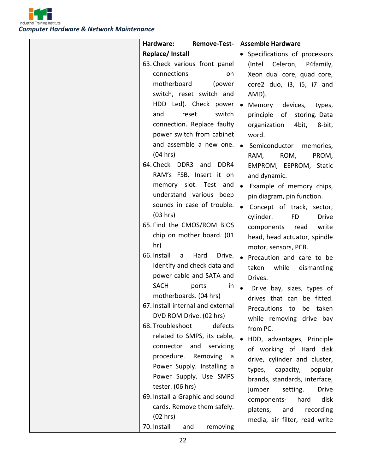

| Hardware:<br>Remove-Test-                     | <b>Assemble Hardware</b>               |
|-----------------------------------------------|----------------------------------------|
| Replace/ Install                              | • Specifications of processors         |
| 63. Check various front panel                 | (Intel Celeron, P4family,              |
| connections<br>on                             | Xeon dual core, quad core,             |
| motherboard<br>(power                         | core2 duo, i3, i5, i7 and              |
| switch, reset switch and                      | AMD).                                  |
| HDD Led). Check power                         | Memory<br>devices,<br>types,           |
| switch<br>and<br>reset                        | principle of storing. Data             |
| connection. Replace faulty                    | organization<br>4bit, 8-bit,           |
| power switch from cabinet                     | word.                                  |
| and assemble a new one.                       | Semiconductor memories,<br>$\bullet$   |
| (04 hrs)                                      | ROM,<br>RAM,<br>PROM,                  |
| 64. Check DDR3 and DDR4                       | EMPROM, EEPROM, Static                 |
| RAM's FSB. Insert it on                       | and dynamic.                           |
| memory slot. Test and                         | Example of memory chips,               |
| understand various beep                       | pin diagram, pin function.             |
| sounds in case of trouble.                    | Concept of track, sector,              |
| (03 hrs)                                      | cylinder.<br><b>FD</b><br><b>Drive</b> |
| 65. Find the CMOS/ROM BIOS                    | components<br>read<br>write            |
| chip on mother board. (01                     | head, head actuator, spindle           |
| hr)                                           | motor, sensors, PCB.                   |
| 66. Install<br>Hard<br>Drive.<br>$\mathsf{a}$ | Precaution and care to be              |
| Identify and check data and                   | while<br>taken<br>dismantling          |
| power cable and SATA and                      | Drives.                                |
| <b>SACH</b><br>ports<br>in                    | Drive bay, sizes, types of             |
| motherboards. (04 hrs)                        | drives that can be fitted.             |
| 67. Install internal and external             | Precautions to be taken                |
| DVD ROM Drive. (02 hrs)                       | while removing drive bay               |
| 68. Troubleshoot<br>defects                   | from PC.                               |
| related to SMPS, its cable,                   | HDD, advantages, Principle             |
| connector and<br>servicing                    | of working of Hard disk                |
| procedure. Removing a                         | drive, cylinder and cluster,           |
| Power Supply. Installing a                    | types, capacity, popular               |
| Power Supply. Use SMPS                        | brands, standards, interface,          |
| tester. (06 hrs)                              | jumper<br>setting.<br><b>Drive</b>     |
| 69. Install a Graphic and sound               | hard<br>disk<br>components-            |
| cards. Remove them safely.                    | platens,<br>and<br>recording           |
| (02 hrs)                                      | media, air filter, read write          |
| 70. Install<br>removing<br>and                |                                        |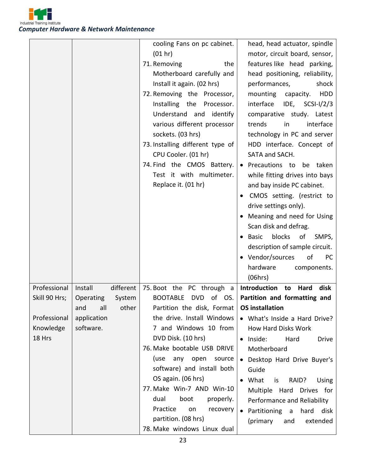

|                                     |                                                                 | cooling Fans on pc cabinet.<br>(01 hr)<br>71. Removing<br>the<br>Motherboard carefully and<br>Install it again. (02 hrs)<br>72. Removing the Processor,<br>Installing the Processor.<br>Understand and identify | head, head actuator, spindle<br>motor, circuit board, sensor,<br>features like head parking,<br>head positioning, reliability,<br>performances,<br>shock<br>mounting<br>capacity.<br><b>HDD</b><br>interface<br>IDE,<br>$SCSI-I/2/3$<br>comparative study. Latest |
|-------------------------------------|-----------------------------------------------------------------|-----------------------------------------------------------------------------------------------------------------------------------------------------------------------------------------------------------------|-------------------------------------------------------------------------------------------------------------------------------------------------------------------------------------------------------------------------------------------------------------------|
|                                     |                                                                 | various different processor<br>sockets. (03 hrs)<br>73. Installing different type of                                                                                                                            | interface<br>trends<br>in<br>technology in PC and server<br>HDD interface. Concept of                                                                                                                                                                             |
|                                     |                                                                 | CPU Cooler. (01 hr)<br>74. Find the CMOS Battery.<br>Test it with multimeter.<br>Replace it. (01 hr)                                                                                                            | SATA and SACH.<br>• Precautions to be taken<br>while fitting drives into bays<br>and bay inside PC cabinet.                                                                                                                                                       |
|                                     |                                                                 |                                                                                                                                                                                                                 | CMOS setting. (restrict to<br>drive settings only).<br>• Meaning and need for Using<br>Scan disk and defrag.<br><b>Basic</b><br>blocks<br>of<br>SMPS,<br>description of sample circuit.<br>• Vendor/sources<br>of<br><b>PC</b><br>hardware<br>components.         |
| Professional<br>Skill 90 Hrs;       | Install<br>different<br>System<br>Operating<br>all other<br>and | 75. Boot the PC through a<br><b>BOOTABLE</b><br>of<br>DVD<br>OS.<br>Partition the disk, Format                                                                                                                  | (06hrs)<br><b>Introduction</b><br>Hard<br>disk<br>to<br>Partition and formatting and<br><b>OS installation</b>                                                                                                                                                    |
| Professional<br>Knowledge<br>18 Hrs | application<br>software.                                        | the drive. Install Windows<br>7 and Windows 10 from<br>DVD Disk. (10 hrs)<br>76. Make bootable USB DRIVE<br>(use<br>any open<br>source<br>software) and install both                                            | • What's Inside a Hard Drive?<br>How Hard Disks Work<br>· Inside:<br>Hard<br><b>Drive</b><br>Motherboard<br>Desktop Hard Drive Buyer's<br>Guide                                                                                                                   |
|                                     |                                                                 | OS again. (06 hrs)<br>77. Make Win-7 AND Win-10<br>dual<br>properly.<br>boot<br>Practice<br>on<br>recovery<br>partition. (08 hrs)<br>78. Make windows Linux dual                                                | What<br>RAID?<br>Using<br>is<br>Multiple Hard Drives for<br>Performance and Reliability<br>• Partitioning a<br>hard<br>disk<br>(primary<br>extended<br>and                                                                                                        |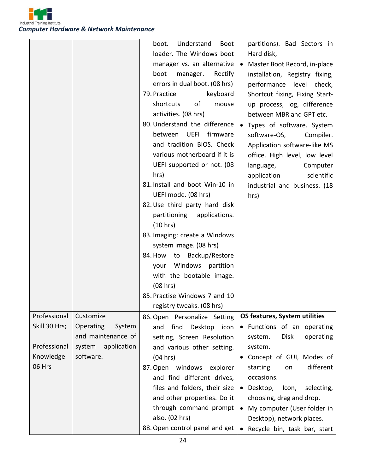

|               |                     | Understand<br>boot.<br><b>Boot</b><br>loader. The Windows boot<br>manager vs. an alternative<br>boot<br>manager. Rectify<br>errors in dual boot. (08 hrs)<br>79. Practice<br>keyboard<br>shortcuts<br>of<br>mouse<br>activities. (08 hrs)<br>80. Understand the difference<br>UEFI<br>firmware<br>between<br>and tradition BIOS. Check<br>various motherboard if it is<br>UEFI supported or not. (08<br>hrs)<br>81. Install and boot Win-10 in<br>UEFI mode. (08 hrs)<br>82. Use third party hard disk<br>partitioning applications.<br>(10 hrs)<br>83. Imaging: create a Windows<br>system image. (08 hrs)<br>84. How to Backup/Restore<br>your Windows partition<br>with the bootable image.<br>(08 hrs) | partitions). Bad Sectors in<br>Hard disk,<br>• Master Boot Record, in-place<br>installation, Registry fixing,<br>performance level check,<br>Shortcut fixing, Fixing Start-<br>up process, log, difference<br>between MBR and GPT etc.<br>• Types of software. System<br>software-OS,<br>Compiler.<br>Application software-like MS<br>office. High level, low level<br>language,<br>Computer<br>application<br>scientific<br>industrial and business. (18<br>hrs) |
|---------------|---------------------|------------------------------------------------------------------------------------------------------------------------------------------------------------------------------------------------------------------------------------------------------------------------------------------------------------------------------------------------------------------------------------------------------------------------------------------------------------------------------------------------------------------------------------------------------------------------------------------------------------------------------------------------------------------------------------------------------------|-------------------------------------------------------------------------------------------------------------------------------------------------------------------------------------------------------------------------------------------------------------------------------------------------------------------------------------------------------------------------------------------------------------------------------------------------------------------|
|               |                     | 85. Practise Windows 7 and 10<br>registry tweaks. (08 hrs)                                                                                                                                                                                                                                                                                                                                                                                                                                                                                                                                                                                                                                                 |                                                                                                                                                                                                                                                                                                                                                                                                                                                                   |
| Professional  | Customize           | 86. Open Personalize Setting                                                                                                                                                                                                                                                                                                                                                                                                                                                                                                                                                                                                                                                                               | OS features, System utilities                                                                                                                                                                                                                                                                                                                                                                                                                                     |
| Skill 30 Hrs; | Operating<br>System | find<br>Desktop icon<br>and                                                                                                                                                                                                                                                                                                                                                                                                                                                                                                                                                                                                                                                                                | • Functions of an operating                                                                                                                                                                                                                                                                                                                                                                                                                                       |
|               | and maintenance of  | setting, Screen Resolution                                                                                                                                                                                                                                                                                                                                                                                                                                                                                                                                                                                                                                                                                 | Disk<br>system.<br>operating                                                                                                                                                                                                                                                                                                                                                                                                                                      |
| Professional  | system application  | and various other setting.                                                                                                                                                                                                                                                                                                                                                                                                                                                                                                                                                                                                                                                                                 | system.                                                                                                                                                                                                                                                                                                                                                                                                                                                           |
| Knowledge     | software.           | (04 hrs)                                                                                                                                                                                                                                                                                                                                                                                                                                                                                                                                                                                                                                                                                                   | • Concept of GUI, Modes of                                                                                                                                                                                                                                                                                                                                                                                                                                        |
| 06 Hrs        |                     | 87. Open windows explorer                                                                                                                                                                                                                                                                                                                                                                                                                                                                                                                                                                                                                                                                                  | different<br>starting<br>on                                                                                                                                                                                                                                                                                                                                                                                                                                       |
|               |                     | and find different drives,                                                                                                                                                                                                                                                                                                                                                                                                                                                                                                                                                                                                                                                                                 | occasions.                                                                                                                                                                                                                                                                                                                                                                                                                                                        |
|               |                     | files and folders, their size                                                                                                                                                                                                                                                                                                                                                                                                                                                                                                                                                                                                                                                                              | • Desktop,<br>Icon,<br>selecting,                                                                                                                                                                                                                                                                                                                                                                                                                                 |
|               |                     | and other properties. Do it                                                                                                                                                                                                                                                                                                                                                                                                                                                                                                                                                                                                                                                                                | choosing, drag and drop.                                                                                                                                                                                                                                                                                                                                                                                                                                          |
|               |                     | through command prompt                                                                                                                                                                                                                                                                                                                                                                                                                                                                                                                                                                                                                                                                                     | • My computer (User folder in                                                                                                                                                                                                                                                                                                                                                                                                                                     |
|               |                     | also. (02 hrs)                                                                                                                                                                                                                                                                                                                                                                                                                                                                                                                                                                                                                                                                                             | Desktop), network places.                                                                                                                                                                                                                                                                                                                                                                                                                                         |
|               |                     | 88. Open control panel and get                                                                                                                                                                                                                                                                                                                                                                                                                                                                                                                                                                                                                                                                             | Recycle bin, task bar, start                                                                                                                                                                                                                                                                                                                                                                                                                                      |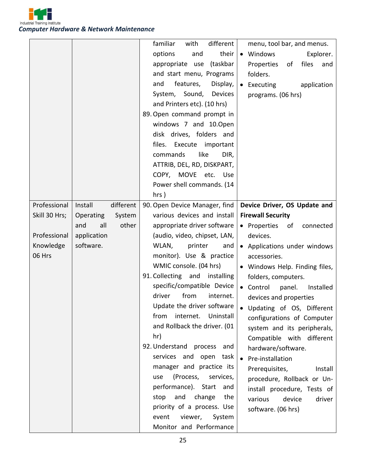

|                               |                                                    | familiar<br>different<br>with<br>options<br>their<br>and<br>appropriate use<br>(taskbar<br>and start menu, Programs<br>features,<br>Display,<br>and<br>System, Sound, Devices<br>and Printers etc). (10 hrs)<br>89. Open command prompt in<br>windows 7 and 10.0pen<br>disk drives, folders and<br>files. Execute important<br>like<br>commands<br>DIR,<br>ATTRIB, DEL, RD, DISKPART,<br>COPY, MOVE etc. Use<br>Power shell commands. (14<br>$hrs$ ) | menu, tool bar, and menus.<br>• Windows<br>Explorer.<br>of<br>files<br>Properties<br>and<br>folders.<br>• Executing<br>application<br>programs. (06 hrs) |
|-------------------------------|----------------------------------------------------|------------------------------------------------------------------------------------------------------------------------------------------------------------------------------------------------------------------------------------------------------------------------------------------------------------------------------------------------------------------------------------------------------------------------------------------------------|----------------------------------------------------------------------------------------------------------------------------------------------------------|
| Professional<br>Skill 30 Hrs; | different<br>Install<br><b>Operating</b><br>System | 90. Open Device Manager, find<br>various devices and install                                                                                                                                                                                                                                                                                                                                                                                         | Device Driver, OS Update and<br><b>Firewall Security</b>                                                                                                 |
|                               | all<br>other<br>and                                | appropriate driver software                                                                                                                                                                                                                                                                                                                                                                                                                          | • Properties of<br>connected                                                                                                                             |
| Professional                  | application                                        | (audio, video, chipset, LAN,                                                                                                                                                                                                                                                                                                                                                                                                                         | devices.                                                                                                                                                 |
| Knowledge                     | software.                                          | WLAN,<br>printer<br>and                                                                                                                                                                                                                                                                                                                                                                                                                              | • Applications under windows                                                                                                                             |
| 06 Hrs                        |                                                    | monitor). Use & practice                                                                                                                                                                                                                                                                                                                                                                                                                             | accessories.                                                                                                                                             |
|                               |                                                    | WMIC console. (04 hrs)                                                                                                                                                                                                                                                                                                                                                                                                                               | • Windows Help. Finding files,                                                                                                                           |
|                               |                                                    | 91. Collecting and installing                                                                                                                                                                                                                                                                                                                                                                                                                        | folders, computers.                                                                                                                                      |
|                               |                                                    | specific/compatible Device                                                                                                                                                                                                                                                                                                                                                                                                                           | • Control<br>panel.<br>Installed                                                                                                                         |
|                               |                                                    | from<br>driver<br>internet.<br>Update the driver software                                                                                                                                                                                                                                                                                                                                                                                            | devices and properties                                                                                                                                   |
|                               |                                                    | internet.<br>Uninstall<br>from                                                                                                                                                                                                                                                                                                                                                                                                                       | • Updating of OS, Different                                                                                                                              |
|                               |                                                    | and Rollback the driver. (01                                                                                                                                                                                                                                                                                                                                                                                                                         | configurations of Computer<br>system and its peripherals,                                                                                                |
|                               |                                                    | hr)                                                                                                                                                                                                                                                                                                                                                                                                                                                  | Compatible with different                                                                                                                                |
|                               |                                                    | 92. Understand process and                                                                                                                                                                                                                                                                                                                                                                                                                           | hardware/software.                                                                                                                                       |
|                               |                                                    | services and open task                                                                                                                                                                                                                                                                                                                                                                                                                               | • Pre-installation                                                                                                                                       |
|                               |                                                    | manager and practice its                                                                                                                                                                                                                                                                                                                                                                                                                             | Prerequisites,<br>Install                                                                                                                                |
|                               |                                                    | (Process, services,<br>use                                                                                                                                                                                                                                                                                                                                                                                                                           | procedure, Rollback or Un-                                                                                                                               |
|                               |                                                    | performance). Start<br>and<br>and change<br>stop<br>the                                                                                                                                                                                                                                                                                                                                                                                              | install procedure, Tests of                                                                                                                              |
|                               |                                                    | priority of a process. Use                                                                                                                                                                                                                                                                                                                                                                                                                           | device<br>driver<br>various                                                                                                                              |
|                               |                                                    | event<br>viewer,<br>System                                                                                                                                                                                                                                                                                                                                                                                                                           | software. (06 hrs)                                                                                                                                       |
|                               |                                                    | Monitor and Performance                                                                                                                                                                                                                                                                                                                                                                                                                              |                                                                                                                                                          |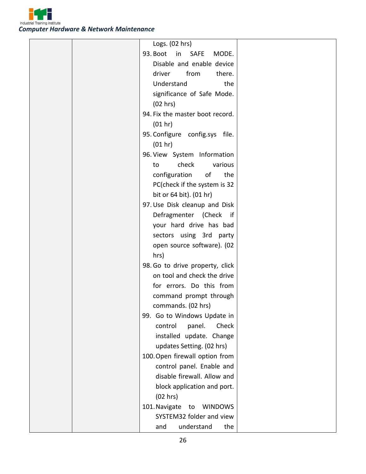

|  | Logs. (02 hrs)                        |  |
|--|---------------------------------------|--|
|  | 93. Boot<br>in SAFE<br>MODE.          |  |
|  | Disable and enable device             |  |
|  | driver<br>from<br>there.              |  |
|  | Understand<br>the                     |  |
|  | significance of Safe Mode.            |  |
|  | (02 hrs)                              |  |
|  | 94. Fix the master boot record.       |  |
|  | (01 hr)                               |  |
|  | 95. Configure config.sys file.        |  |
|  | (01 hr)                               |  |
|  | 96. View System Information           |  |
|  | check<br>various<br>to                |  |
|  | configuration<br>of<br>the            |  |
|  | PC(check if the system is 32          |  |
|  | bit or 64 bit). (01 hr)               |  |
|  | 97. Use Disk cleanup and Disk         |  |
|  | Defragmenter (Check if                |  |
|  | your hard drive has bad               |  |
|  | sectors using 3rd party               |  |
|  | open source software). (02            |  |
|  | hrs)                                  |  |
|  | 98. Go to drive property, click       |  |
|  | on tool and check the drive           |  |
|  | for errors. Do this from              |  |
|  | command prompt through                |  |
|  | commands. (02 hrs)                    |  |
|  | 99. Go to Windows Update in           |  |
|  | Check<br>control<br>panel.            |  |
|  | installed update. Change              |  |
|  | updates Setting. (02 hrs)             |  |
|  | 100. Open firewall option from        |  |
|  | control panel. Enable and             |  |
|  | disable firewall. Allow and           |  |
|  | block application and port.           |  |
|  | (02 hrs)                              |  |
|  | 101. Navigate<br><b>WINDOWS</b><br>to |  |
|  | SYSTEM32 folder and view              |  |
|  | understand<br>the<br>and              |  |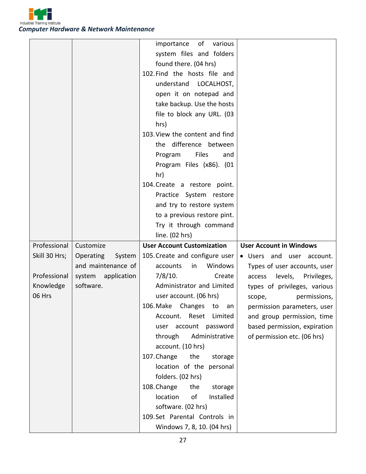

|               |                     | importance<br>of<br>various       |                                  |
|---------------|---------------------|-----------------------------------|----------------------------------|
|               |                     | system files and folders          |                                  |
|               |                     | found there. (04 hrs)             |                                  |
|               |                     | 102. Find the hosts file and      |                                  |
|               |                     | understand<br>LOCALHOST,          |                                  |
|               |                     | open it on notepad and            |                                  |
|               |                     | take backup. Use the hosts        |                                  |
|               |                     | file to block any URL. (03        |                                  |
|               |                     | hrs)                              |                                  |
|               |                     | 103. View the content and find    |                                  |
|               |                     | the difference between            |                                  |
|               |                     | Files<br>Program<br>and           |                                  |
|               |                     | Program Files (x86). (01          |                                  |
|               |                     | hr)                               |                                  |
|               |                     | 104. Create a restore point.      |                                  |
|               |                     | Practice System restore           |                                  |
|               |                     | and try to restore system         |                                  |
|               |                     | to a previous restore pint.       |                                  |
|               |                     | Try it through command            |                                  |
|               |                     | line. (02 hrs)                    |                                  |
|               |                     |                                   |                                  |
| Professional  | Customize           | <b>User Account Customization</b> | <b>User Account in Windows</b>   |
| Skill 30 Hrs; | Operating<br>System | 105. Create and configure user    | · Users and user account.        |
|               | and maintenance of  | Windows<br>in<br>accounts         | Types of user accounts, user     |
| Professional  | system application  | 7/8/10.<br>Create                 | levels,<br>Privileges,<br>access |
| Knowledge     | software.           | Administrator and Limited         | types of privileges, various     |
| 06 Hrs        |                     | user account. (06 hrs)            | permissions,<br>scope,           |
|               |                     | 106. Make Changes to<br>an        | permission parameters, user      |
|               |                     | Account. Reset<br>Limited         | and group permission, time       |
|               |                     | user account password             | based permission, expiration     |
|               |                     | through<br>Administrative         | of permission etc. (06 hrs)      |
|               |                     | account. (10 hrs)                 |                                  |
|               |                     | 107. Change<br>the<br>storage     |                                  |
|               |                     | location of the personal          |                                  |
|               |                     | folders. (02 hrs)                 |                                  |
|               |                     | 108. Change<br>the<br>storage     |                                  |
|               |                     | location<br>of<br>Installed       |                                  |
|               |                     | software. (02 hrs)                |                                  |
|               |                     | 109.Set Parental Controls in      |                                  |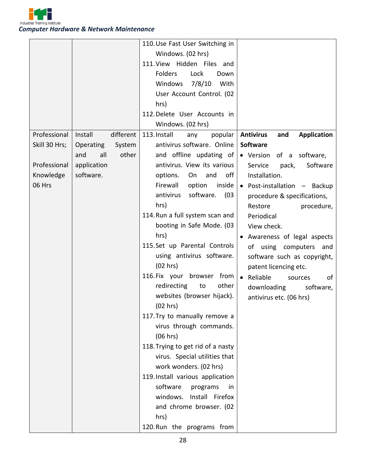

|               |                      | 110. Use Fast User Switching in   |                                               |
|---------------|----------------------|-----------------------------------|-----------------------------------------------|
|               |                      | Windows. (02 hrs)                 |                                               |
|               |                      | 111. View Hidden Files and        |                                               |
|               |                      | <b>Folders</b><br>Lock<br>Down    |                                               |
|               |                      | Windows<br>7/8/10<br>With         |                                               |
|               |                      | User Account Control. (02         |                                               |
|               |                      | hrs)                              |                                               |
|               |                      | 112. Delete User Accounts in      |                                               |
|               |                      | Windows. (02 hrs)                 |                                               |
| Professional  | Install<br>different | 113. Install<br>popular<br>any    | <b>Antivirus</b><br>and<br><b>Application</b> |
| Skill 30 Hrs; | Operating<br>System  | antivirus software. Online        | <b>Software</b>                               |
|               | all<br>other<br>and  | and offline updating of           | · Version of a software,                      |
| Professional  | application          | antivirus. View its various       | Service<br>pack,<br>Software                  |
| Knowledge     | software.            | options.<br>On<br>and<br>off      | Installation.                                 |
| 06 Hrs        |                      | Firewall<br>option<br>inside      | • Post-installation - Backup                  |
|               |                      | antivirus<br>software.<br>(03)    | procedure & specifications,                   |
|               |                      | hrs)                              | procedure,<br>Restore                         |
|               |                      | 114. Run a full system scan and   | Periodical                                    |
|               |                      | booting in Safe Mode. (03         | View check.                                   |
|               |                      | hrs)                              | Awareness of legal aspects                    |
|               |                      | 115. Set up Parental Controls     | of using computers and                        |
|               |                      | using antivirus software.         | software such as copyright,                   |
|               |                      | (02 hrs)                          | patent licencing etc.                         |
|               |                      | 116. Fix your browser from        | • Reliable<br>of<br>sources                   |
|               |                      | other<br>redirecting<br>to        | downloading<br>software,                      |
|               |                      | websites (browser hijack).        | antivirus etc. (06 hrs)                       |
|               |                      | (02 hrs)                          |                                               |
|               |                      | 117. Try to manually remove a     |                                               |
|               |                      | virus through commands.           |                                               |
|               |                      | (06 hrs)                          |                                               |
|               |                      | 118. Trying to get rid of a nasty |                                               |
|               |                      | virus. Special utilities that     |                                               |
|               |                      | work wonders. (02 hrs)            |                                               |
|               |                      | 119. Install various application  |                                               |
|               |                      | software<br>programs<br>in.       |                                               |
|               |                      | windows. Install Firefox          |                                               |
|               |                      | and chrome browser. (02           |                                               |
|               |                      | hrs)                              |                                               |
|               |                      | 120. Run the programs from        |                                               |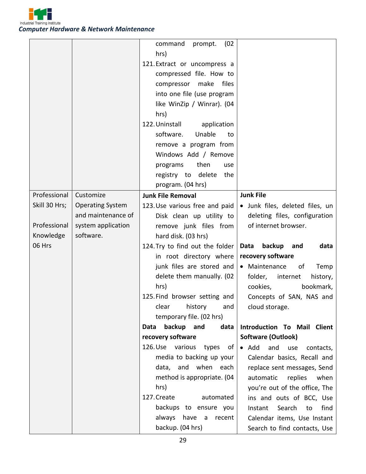

|               |                         | command<br>(02)<br>prompt.      |                                          |
|---------------|-------------------------|---------------------------------|------------------------------------------|
|               |                         | hrs)                            |                                          |
|               |                         | 121. Extract or uncompress a    |                                          |
|               |                         | compressed file. How to         |                                          |
|               |                         | make<br>files<br>compressor     |                                          |
|               |                         | into one file (use program      |                                          |
|               |                         | like WinZip / Winrar). (04      |                                          |
|               |                         | hrs)                            |                                          |
|               |                         | 122. Uninstall<br>application   |                                          |
|               |                         | software.<br>Unable<br>to       |                                          |
|               |                         | remove a program from           |                                          |
|               |                         | Windows Add / Remove            |                                          |
|               |                         | then<br>programs<br>use         |                                          |
|               |                         | registry to delete<br>the       |                                          |
|               |                         | program. (04 hrs)               |                                          |
| Professional  | Customize               | <b>Junk File Removal</b>        | <b>Junk File</b>                         |
| Skill 30 Hrs; | <b>Operating System</b> | 123. Use various free and paid  | · Junk files, deleted files, un          |
|               | and maintenance of      | Disk clean up utility to        | deleting files, configuration            |
| Professional  | system application      | remove junk files from          | of internet browser.                     |
| Knowledge     | software.               | hard disk. (03 hrs)             |                                          |
|               |                         |                                 |                                          |
| 06 Hrs        |                         | 124. Try to find out the folder | backup<br>Data<br>and<br>data            |
|               |                         | in root directory where         | recovery software                        |
|               |                         | junk files are stored and       | • Maintenance<br>of<br>Temp              |
|               |                         | delete them manually. (02       | folder,<br>internet<br>history,          |
|               |                         | hrs)                            | cookies,<br>bookmark,                    |
|               |                         | 125. Find browser setting and   | Concepts of SAN, NAS and                 |
|               |                         | clear history and               | cloud storage.                           |
|               |                         | temporary file. (02 hrs)        |                                          |
|               |                         | backup and<br>data<br>Data      | Introduction To Mail Client              |
|               |                         | recovery software               | <b>Software (Outlook)</b>                |
|               |                         | 126. Use various types<br>of    | $\bullet$ Add<br>and<br>use<br>contacts, |
|               |                         | media to backing up your        | Calendar basics, Recall and              |
|               |                         | data, and when each             | replace sent messages, Send              |
|               |                         | method is appropriate. (04      | automatic<br>replies<br>when             |
|               |                         | hrs)                            | you're out of the office, The            |
|               |                         | 127. Create<br>automated        | ins and outs of BCC, Use                 |
|               |                         | backups to ensure you           | Search<br>Instant<br>to<br>find          |
|               |                         | always have a<br>recent         | Calendar items, Use Instant              |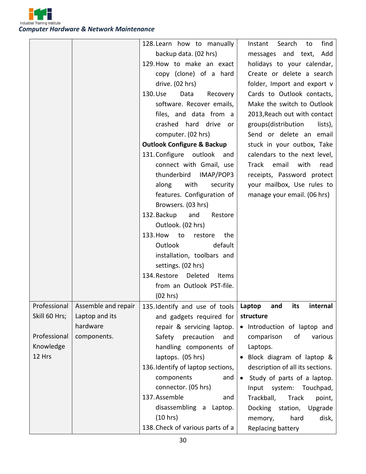

|               |                                    | 128. Learn how to manually              | find<br>Search<br>to<br>Instant  |
|---------------|------------------------------------|-----------------------------------------|----------------------------------|
|               |                                    | backup data. (02 hrs)                   | messages and text, Add           |
|               |                                    | 129. How to make an exact               | holidays to your calendar,       |
|               |                                    | copy (clone) of a hard                  | Create or delete a search        |
|               |                                    | drive. (02 hrs)                         | folder, Import and export v      |
|               |                                    | 130. Use<br>Data<br>Recovery            | Cards to Outlook contacts,       |
|               |                                    | software. Recover emails,               | Make the switch to Outlook       |
|               |                                    | files, and data from a                  | 2013, Reach out with contact     |
|               |                                    | crashed hard drive or                   | groups(distribution<br>lists),   |
|               |                                    | computer. (02 hrs)                      | Send or delete an email          |
|               |                                    | <b>Outlook Configure &amp; Backup</b>   | stuck in your outbox, Take       |
|               |                                    | 131. Configure<br>outlook and           | calendars to the next level,     |
|               |                                    | connect with Gmail, use                 | Track email<br>with<br>read      |
|               |                                    | thunderbird IMAP/POP3                   | receipts, Password protect       |
|               |                                    | along<br>with<br>security               | your mailbox, Use rules to       |
|               |                                    | features. Configuration of              | manage your email. (06 hrs)      |
|               |                                    | Browsers. (03 hrs)                      |                                  |
|               |                                    | 132. Backup<br>and<br>Restore           |                                  |
|               |                                    | Outlook. (02 hrs)                       |                                  |
|               |                                    | 133. How to<br>restore<br>the           |                                  |
|               |                                    | <b>Outlook</b><br>default               |                                  |
|               |                                    | installation, toolbars and              |                                  |
|               |                                    | settings. (02 hrs)                      |                                  |
|               |                                    | 134. Restore Deleted<br>Items           |                                  |
|               |                                    | from an Outlook PST-file.               |                                  |
|               |                                    | (02 hrs)                                |                                  |
|               | Professional   Assemble and repair | 135. Identify and use of tools   Laptop | and<br>its<br>internal           |
| Skill 60 Hrs; | Laptop and its                     | and gadgets required for                | structure                        |
|               | hardware                           | repair & servicing laptop.              | • Introduction of laptop and     |
| Professional  | components.                        | precaution<br>Safety<br>and             | comparison<br>of<br>various      |
| Knowledge     |                                    | handling components of                  | Laptops.                         |
| 12 Hrs        |                                    | laptops. (05 hrs)                       | Block diagram of laptop &        |
|               |                                    | 136. Identify of laptop sections,       | description of all its sections. |
|               |                                    | components<br>and                       | Study of parts of a laptop.      |
|               |                                    | connector. (05 hrs)                     | Input system: Touchpad,          |
|               |                                    | 137. Assemble<br>and                    | Trackball,<br>Track<br>point,    |
|               |                                    | disassembling a Laptop.                 | Docking station,<br>Upgrade      |
|               |                                    | (10 hrs)                                | disk,<br>hard<br>memory,         |
|               |                                    | 138. Check of various parts of a        | Replacing battery                |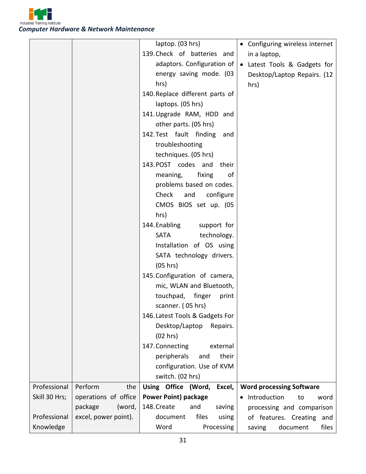

|               |                      | laptop. (03 hrs)                | • Configuring wireless internet |
|---------------|----------------------|---------------------------------|---------------------------------|
|               |                      | 139. Check of batteries and     | in a laptop,                    |
|               |                      | adaptors. Configuration of      | Latest Tools & Gadgets for      |
|               |                      | energy saving mode. (03         | Desktop/Laptop Repairs. (12     |
|               |                      | hrs)                            | hrs)                            |
|               |                      | 140. Replace different parts of |                                 |
|               |                      | laptops. (05 hrs)               |                                 |
|               |                      | 141. Upgrade RAM, HDD and       |                                 |
|               |                      | other parts. (05 hrs)           |                                 |
|               |                      | 142. Test fault finding<br>and  |                                 |
|               |                      | troubleshooting                 |                                 |
|               |                      | techniques. (05 hrs)            |                                 |
|               |                      | 143.POST codes and<br>their     |                                 |
|               |                      | fixing<br>meaning,<br>of        |                                 |
|               |                      | problems based on codes.        |                                 |
|               |                      | Check<br>and<br>configure       |                                 |
|               |                      | CMOS BIOS set up. (05           |                                 |
|               |                      | hrs)                            |                                 |
|               |                      | 144. Enabling<br>support for    |                                 |
|               |                      | technology.<br>SATA             |                                 |
|               |                      | Installation of OS using        |                                 |
|               |                      | SATA technology drivers.        |                                 |
|               |                      | (05 hrs)                        |                                 |
|               |                      | 145. Configuration of camera,   |                                 |
|               |                      | mic, WLAN and Bluetooth,        |                                 |
|               |                      | touchpad, finger<br>print       |                                 |
|               |                      | scanner. (05 hrs)               |                                 |
|               |                      | 146. Latest Tools & Gadgets For |                                 |
|               |                      | Desktop/Laptop<br>Repairs.      |                                 |
|               |                      | (02 hrs)                        |                                 |
|               |                      | 147. Connecting<br>external     |                                 |
|               |                      | their<br>peripherals<br>and     |                                 |
|               |                      | configuration. Use of KVM       |                                 |
|               |                      | switch. (02 hrs)                |                                 |
| Professional  | Perform<br>the       | Using Office (Word,<br>Excel,   | <b>Word processing Software</b> |
| Skill 30 Hrs; | operations of office | <b>Power Point) package</b>     | Introduction<br>to<br>word      |
|               | package<br>(word,    | 148. Create<br>and<br>saving    | processing and comparison       |
| Professional  | excel, power point). | document<br>files<br>using      | of features. Creating and       |
| Knowledge     |                      | Word<br>Processing              | saving<br>document<br>files     |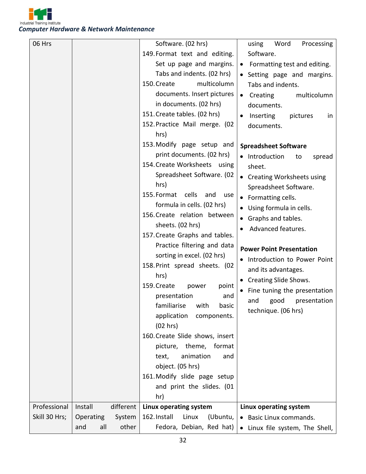

| 06 Hrs        |            |           | Software. (02 hrs)                 | Word<br>Processing<br>using                |
|---------------|------------|-----------|------------------------------------|--------------------------------------------|
|               |            |           | 149. Format text and editing.      | Software.                                  |
|               |            |           | Set up page and margins.           | • Formatting test and editing.             |
|               |            |           | Tabs and indents. (02 hrs)         | • Setting page and margins.                |
|               |            |           | 150. Create<br>multicolumn         | Tabs and indents.                          |
|               |            |           | documents. Insert pictures         | Creating<br>multicolumn<br>$\bullet$       |
|               |            |           | in documents. (02 hrs)             | documents.                                 |
|               |            |           | 151. Create tables. (02 hrs)       | Inserting<br>pictures<br>$\bullet$<br>in   |
|               |            |           | 152. Practice Mail merge. (02      | documents.                                 |
|               |            |           | hrs)                               |                                            |
|               |            |           | 153. Modify page setup and         | <b>Spreadsheet Software</b>                |
|               |            |           | print documents. (02 hrs)          | • Introduction<br>spread<br>to             |
|               |            |           | 154. Create Worksheets using       | sheet.                                     |
|               |            |           | Spreadsheet Software. (02          | • Creating Worksheets using                |
|               |            |           | hrs)                               | Spreadsheet Software.                      |
|               |            |           | cells<br>155. Format<br>and<br>use | • Formatting cells.                        |
|               |            |           | formula in cells. (02 hrs)         | Using formula in cells.                    |
|               |            |           | 156. Create relation between       | Graphs and tables.                         |
|               |            |           | sheets. (02 hrs)                   | Advanced features.                         |
|               |            |           | 157. Create Graphs and tables.     |                                            |
|               |            |           | Practice filtering and data        | <b>Power Point Presentation</b>            |
|               |            |           | sorting in excel. (02 hrs)         | • Introduction to Power Point              |
|               |            |           | 158. Print spread sheets. (02      | and its advantages.                        |
|               |            |           | hrs)                               | • Creating Slide Shows.                    |
|               |            |           | 159. Create<br>power<br>point      | Fine tuning the presentation               |
|               |            |           | presentation<br>and                | good<br>and<br>presentation                |
|               |            |           | familiarise with<br>basic          | technique. (06 hrs)                        |
|               |            |           | application<br>components.         |                                            |
|               |            |           | (02 hrs)                           |                                            |
|               |            |           | 160. Create Slide shows, insert    |                                            |
|               |            |           | picture, theme, format             |                                            |
|               |            |           | animation<br>text,<br>and          |                                            |
|               |            |           | object. (05 hrs)                   |                                            |
|               |            |           | 161. Modify slide page setup       |                                            |
|               |            |           | and print the slides. (01          |                                            |
|               |            |           | hr)                                |                                            |
| Professional  | Install    | different | Linux operating system             | Linux operating system                     |
| Skill 30 Hrs; | Operating  | System    | 162. Install<br>(Ubuntu,<br>Linux  | • Basic Linux commands.                    |
|               | all<br>and | other     | Fedora, Debian, Red hat)           | Linux file system, The Shell,<br>$\bullet$ |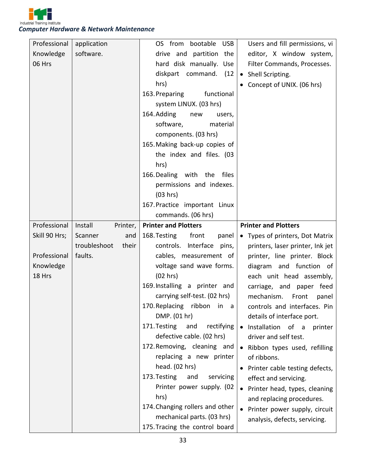

| Professional  | application           | OS from bootable USB              | Users and fill permissions, vi   |
|---------------|-----------------------|-----------------------------------|----------------------------------|
| Knowledge     | software.             | drive and partition the           | editor, X window system,         |
| 06 Hrs        |                       | hard disk manually. Use           | Filter Commands, Processes.      |
|               |                       | diskpart command. (12             | • Shell Scripting.               |
|               |                       | hrs)                              | • Concept of UNIX. (06 hrs)      |
|               |                       | functional<br>163. Preparing      |                                  |
|               |                       | system LINUX. (03 hrs)            |                                  |
|               |                       | 164. Adding<br>new<br>users,      |                                  |
|               |                       | software,<br>material             |                                  |
|               |                       | components. (03 hrs)              |                                  |
|               |                       | 165. Making back-up copies of     |                                  |
|               |                       | the index and files. (03          |                                  |
|               |                       | hrs)                              |                                  |
|               |                       | 166. Dealing with the files       |                                  |
|               |                       | permissions and indexes.          |                                  |
|               |                       | (03 hrs)                          |                                  |
|               |                       | 167. Practice important Linux     |                                  |
|               |                       | commands. (06 hrs)                |                                  |
| Professional  | Install<br>Printer,   | <b>Printer and Plotters</b>       | <b>Printer and Plotters</b>      |
|               | Scanner<br>and        | 168. Testing front                |                                  |
| Skill 90 Hrs; |                       | panel                             | • Types of printers, Dot Matrix  |
|               | troubleshoot<br>their | controls. Interface pins,         | printers, laser printer, Ink jet |
| Professional  | faults.               | cables, measurement of            | printer, line printer. Block     |
| Knowledge     |                       | voltage sand wave forms.          | diagram and function of          |
| 18 Hrs        |                       | (02 hrs)                          | each unit head assembly,         |
|               |                       | 169. Installing a printer and     | carriage, and paper feed         |
|               |                       | carrying self-test. (02 hrs)      | mechanism.<br>Front<br>panel     |
|               |                       | 170. Replacing ribbon in a        | controls and interfaces. Pin     |
|               |                       | DMP. (01 hr)                      | details of interface port.       |
|               |                       | 171. Testing<br>rectifying<br>and | · Installation of a<br>printer   |
|               |                       | defective cable. (02 hrs)         | driver and self test.            |
|               |                       | 172. Removing, cleaning and       | • Ribbon types used, refilling   |
|               |                       | replacing a new printer           | of ribbons.                      |
|               |                       | head. (02 hrs)                    | • Printer cable testing defects, |
|               |                       | 173. Testing<br>and<br>servicing  | effect and servicing.            |
|               |                       | Printer power supply. (02         | • Printer head, types, cleaning  |
|               |                       | hrs)                              | and replacing procedures.        |
|               |                       | 174. Changing rollers and other   | • Printer power supply, circuit  |
|               |                       | mechanical parts. (03 hrs)        | analysis, defects, servicing.    |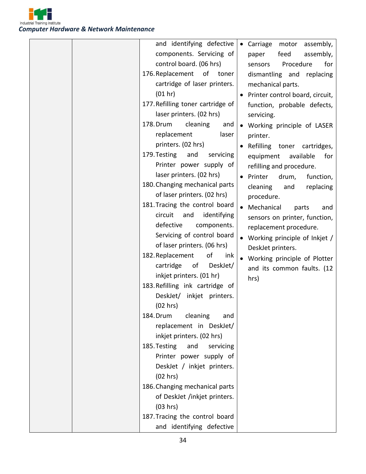

| and identifying defective         | Carriage<br>motor<br>assembly,  |
|-----------------------------------|---------------------------------|
| components. Servicing of          | feed<br>assembly,<br>paper      |
| control board. (06 hrs)           | Procedure<br>for<br>sensors     |
| 176. Replacement of<br>toner      | dismantling and<br>replacing    |
| cartridge of laser printers.      | mechanical parts.               |
| (01 hr)                           | Printer control board, circuit, |
| 177. Refilling toner cartridge of | function, probable defects,     |
| laser printers. (02 hrs)          | servicing.                      |
| 178. Drum<br>cleaning<br>and      | • Working principle of LASER    |
| replacement<br>laser              | printer.                        |
| printers. (02 hrs)                | Refilling toner cartridges,     |
| 179. Testing<br>and<br>servicing  | available<br>equipment<br>for   |
| Printer power supply of           | refilling and procedure.        |
| laser printers. (02 hrs)          | Printer<br>drum,<br>function,   |
| 180. Changing mechanical parts    | replacing<br>cleaning<br>and    |
| of laser printers. (02 hrs)       | procedure.                      |
| 181. Tracing the control board    | Mechanical<br>parts<br>and      |
| circuit<br>identifying<br>and     | sensors on printer, function,   |
| defective<br>components.          |                                 |
| Servicing of control board        | replacement procedure.          |
| of laser printers. (06 hrs)       | • Working principle of Inkjet / |
| 182. Replacement<br>of<br>ink     | DeskJet printers.               |
| of<br>DeskJet/<br>cartridge       | • Working principle of Plotter  |
| inkjet printers. (01 hr)          | and its common faults. (12      |
| 183. Refilling ink cartridge of   | hrs)                            |
| DeskJet/ inkjet printers.         |                                 |
| (02 hrs)                          |                                 |
| cleaning<br>184. Drum<br>and      |                                 |
| replacement in DeskJet/           |                                 |
| inkjet printers. (02 hrs)         |                                 |
| 185. Testing<br>and<br>servicing  |                                 |
| Printer power supply of           |                                 |
| DeskJet / inkjet printers.        |                                 |
| (02 hrs)                          |                                 |
| 186. Changing mechanical parts    |                                 |
| of DeskJet /inkjet printers.      |                                 |
| (03 hrs)                          |                                 |
| 187. Tracing the control board    |                                 |
| and identifying defective         |                                 |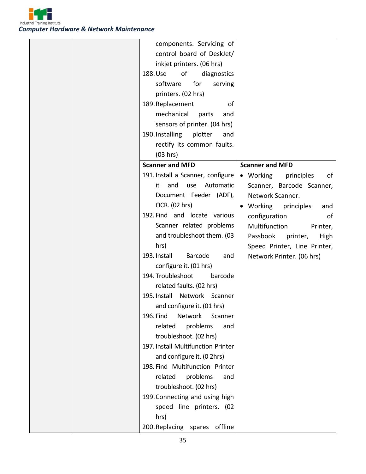

| components. Servicing of           |                                       |
|------------------------------------|---------------------------------------|
| control board of DeskJet/          |                                       |
| inkjet printers. (06 hrs)          |                                       |
| 188. Use<br>of<br>diagnostics      |                                       |
| software<br>for<br>serving         |                                       |
| printers. (02 hrs)                 |                                       |
| 189. Replacement<br>οf             |                                       |
| mechanical<br>parts<br>and         |                                       |
| sensors of printer. (04 hrs)       |                                       |
| 190. Installing<br>plotter<br>and  |                                       |
| rectify its common faults.         |                                       |
| (03 hrs)                           |                                       |
| <b>Scanner and MFD</b>             | <b>Scanner and MFD</b>                |
| 191. Install a Scanner, configure  | $\bullet$ Working<br>principles<br>of |
| and<br>Automatic<br>it<br>use      | Scanner, Barcode Scanner,             |
| Document Feeder (ADF),             | Network Scanner.                      |
| OCR. (02 hrs)                      | Working principles<br>and             |
| 192. Find and locate various       | configuration<br>of                   |
| Scanner related problems           | Multifunction<br>Printer,             |
| and troubleshoot them. (03         | Passbook<br>High<br>printer,          |
| hrs)                               | Speed Printer, Line Printer,          |
| 193. Install<br>Barcode<br>and     | Network Printer. (06 hrs)             |
| configure it. (01 hrs)             |                                       |
| 194. Troubleshoot<br>barcode       |                                       |
| related faults. (02 hrs)           |                                       |
| 195. Install Network Scanner       |                                       |
| and configure it. (01 hrs)         |                                       |
| Network<br>196. Find<br>Scanner    |                                       |
| related<br>problems<br>and         |                                       |
| troubleshoot. (02 hrs)             |                                       |
| 197. Install Multifunction Printer |                                       |
| and configure it. (0 2hrs)         |                                       |
| 198. Find Multifunction Printer    |                                       |
| related<br>problems<br>and         |                                       |
| troubleshoot. (02 hrs)             |                                       |
| 199. Connecting and using high     |                                       |
| speed line printers. (02           |                                       |
| hrs)                               |                                       |
| 200. Replacing spares offline      |                                       |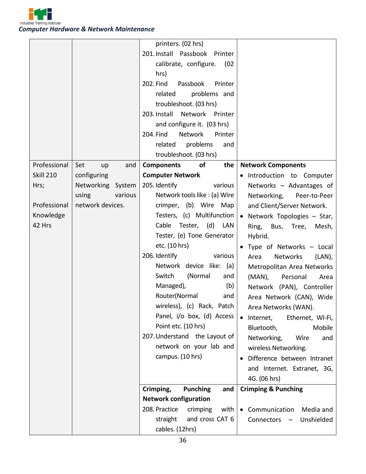

| printers. (02 hrs)                                                                              |                  |
|-------------------------------------------------------------------------------------------------|------------------|
| 201. Install Passbook Printer                                                                   |                  |
| calibrate, configure.<br>(02)                                                                   |                  |
| hrs)                                                                                            |                  |
| 202. Find<br>Passbook<br>Printer                                                                |                  |
| problems and<br>related                                                                         |                  |
| troubleshoot. (03 hrs)                                                                          |                  |
| 203. Install Network Printer                                                                    |                  |
| and configure it. (03 hrs)                                                                      |                  |
| 204. Find<br><b>Network</b><br>Printer                                                          |                  |
| related<br>problems<br>and                                                                      |                  |
| troubleshoot. (03 hrs)                                                                          |                  |
| Professional<br>Set<br><b>Components</b><br>of<br>the<br><b>Network Components</b><br>and<br>up |                  |
| <b>Skill 210</b><br><b>Computer Network</b><br>configuring<br>· Introduction to Computer        |                  |
| Networking System<br>205. Identify<br>various<br>Networks - Advantages of<br>Hrs;               |                  |
| various<br>Network tools like : (a) Wire<br>using<br>Networking, Peer-to-Peer                   |                  |
| network devices.<br>Professional<br>crimper, (b) Wire<br>Map<br>and Client/Server Network.      |                  |
| Testers, (c) Multifunction<br>Knowledge<br>• Network Topologies - Star,                         |                  |
| 42 Hrs<br>Cable<br>Tester, (d) LAN<br>Ring, Bus, Tree,                                          | Mesh,            |
| Tester, (e) Tone Generator<br>Hybrid.                                                           |                  |
| etc. (10 hrs)<br>Type of Networks - Local                                                       |                  |
| 206. Identify<br>various<br>Networks<br>Area                                                    | (LAN),           |
| Network device like: (a)<br>Metropolitan Area Networks                                          |                  |
| (Normal<br>Switch<br>and<br>$(MAN)$ ,<br>Personal                                               | Area             |
| Managed),<br>(b)<br>Network (PAN), Controller                                                   |                  |
| Router(Normal<br>and<br>Area Network (CAN), Wide                                                |                  |
| wireless), (c) Rack, Patch<br>Area Networks (WAN).                                              |                  |
| Panel, i/o box, (d) Access<br>Internet,                                                         | Ethernet, WI-Fi, |
| Point etc. (10 hrs)<br>Bluetooth,                                                               | Mobile           |
| 207. Understand the Layout of<br>Networking,<br>Wire                                            | and              |
| network on your lab and<br>wireless Networking.                                                 |                  |
| campus. (10 hrs)<br>Difference between Intranet                                                 |                  |
| and Internet. Extranet, 3G,                                                                     |                  |
| 4G. (06 hrs)                                                                                    |                  |
| Crimping,<br><b>Crimping &amp; Punching</b><br><b>Punching</b><br>and                           |                  |
| <b>Network configuration</b>                                                                    |                  |
| 208. Practice<br>crimping<br>with<br>Communication                                              |                  |
|                                                                                                 | Media and        |
| and cross CAT 6<br>straight<br>Connectors -                                                     | Unshielded       |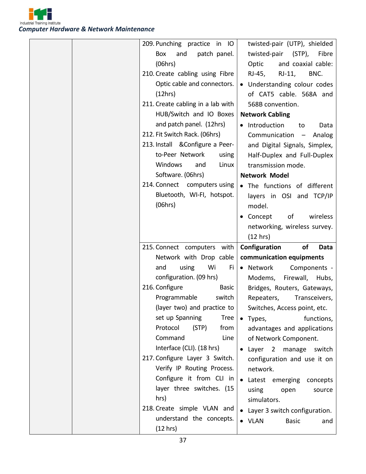

|  | 209. Punching practice in IO         | twisted-pair (UTP), shielded        |
|--|--------------------------------------|-------------------------------------|
|  | Box<br>and<br>patch panel.           | twisted-pair (STP),<br>Fibre        |
|  | (06hrs)                              | and coaxial cable:<br>Optic         |
|  | 210. Create cabling using Fibre      | RJ-45, RJ-11,<br>BNC.               |
|  | Optic cable and connectors.          | • Understanding colour codes        |
|  | (12hrs)                              | of CAT5 cable. 568A and             |
|  | 211. Create cabling in a lab with    | 568B convention.                    |
|  | HUB/Switch and IO Boxes              | <b>Network Cabling</b>              |
|  | and patch panel. (12hrs)             | Introduction<br>to<br>Data          |
|  | 212. Fit Switch Rack. (06hrs)        | Communication -<br>Analog           |
|  | 213. Install & Configure a Peer-     | and Digital Signals, Simplex,       |
|  | to-Peer Network<br>using             | Half-Duplex and Full-Duplex         |
|  | Windows<br>Linux<br>and              | transmission mode.                  |
|  | Software. (06hrs)                    | <b>Network Model</b>                |
|  | 214. Connect computers using         | . The functions of different        |
|  | Bluetooth, WI-FI, hotspot.           | layers in OSI and TCP/IP            |
|  | (06hrs)                              | model.                              |
|  |                                      | of<br>wireless<br>$\bullet$ Concept |
|  |                                      | networking, wireless survey.        |
|  |                                      |                                     |
|  |                                      |                                     |
|  |                                      | (12 hrs)                            |
|  | 215. Connect computers with          | of<br>Configuration<br>Data         |
|  | Network with Drop cable              | communication equipments            |
|  | using<br>Wi<br>and<br>Fi             | • Network<br>Components -           |
|  | configuration. (09 hrs)<br>Basic     | Modems,<br>Firewall, Hubs,          |
|  | 216. Configure                       | Bridges, Routers, Gateways,         |
|  | Programmable<br>switch               | Repeaters,<br>Transceivers,         |
|  | (layer two) and practice to          | Switches, Access point, etc.        |
|  | set up Spanning<br><b>Tree</b>       | functions,<br>Types,<br>$\bullet$   |
|  | Protocol<br>from<br>(STP)            | advantages and applications         |
|  | Command<br>Line                      | of Network Component.               |
|  | Interface (CLI). (18 hrs)            | • Layer 2 manage<br>switch          |
|  | 217. Configure Layer 3 Switch.       | configuration and use it on         |
|  | Verify IP Routing Process.           | network.                            |
|  | Configure it from CLI in             | Latest emerging<br>concepts         |
|  | layer three switches. (15            | using<br>open<br>source             |
|  | hrs)                                 | simulators.                         |
|  | 218. Create simple VLAN and          | • Layer 3 switch configuration.     |
|  | understand the concepts.<br>(12 hrs) | • VLAN<br><b>Basic</b><br>and       |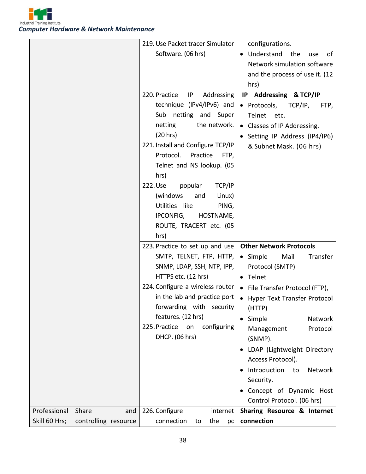

|               |                      | 219. Use Packet tracer Simulator   | configurations.                  |
|---------------|----------------------|------------------------------------|----------------------------------|
|               |                      | Software. (06 hrs)                 | • Understand<br>the<br>use<br>οf |
|               |                      |                                    | Network simulation software      |
|               |                      |                                    | and the process of use it. (12   |
|               |                      |                                    | hrs)                             |
|               |                      | 220. Practice<br>IP<br>Addressing  | IP Addressing & TCP/IP           |
|               |                      | technique (IPv4/IPv6) and          | • Protocols,<br>TCP/IP,<br>FTP,  |
|               |                      | Sub netting and Super              | Telnet etc.                      |
|               |                      | netting<br>the network.            |                                  |
|               |                      |                                    | • Classes of IP Addressing.      |
|               |                      | (20 hrs)                           | Setting IP Address (IP4/IP6)     |
|               |                      | 221. Install and Configure TCP/IP  | & Subnet Mask. (06 hrs)          |
|               |                      | Protocol.<br>Practice<br>FTP,      |                                  |
|               |                      | Telnet and NS lookup. (05          |                                  |
|               |                      | hrs)                               |                                  |
|               |                      | 222. Use<br>popular<br>TCP/IP      |                                  |
|               |                      | (windows)<br>Linux)<br>and         |                                  |
|               |                      | Utilities like<br>PING,            |                                  |
|               |                      | IPCONFIG,<br>HOSTNAME,             |                                  |
|               |                      | ROUTE, TRACERT etc. (05            |                                  |
|               |                      | hrs)                               |                                  |
|               |                      | 223. Practice to set up and use    | <b>Other Network Protocols</b>   |
|               |                      | SMTP, TELNET, FTP, HTTP,           | • Simple<br>Transfer<br>Mail     |
|               |                      | SNMP, LDAP, SSH, NTP, IPP,         | Protocol (SMTP)                  |
|               |                      | HTTPS etc. (12 hrs)                | • Telnet                         |
|               |                      | 224. Configure a wireless router   | • File Transfer Protocol (FTP),  |
|               |                      | in the lab and practice port       | • Hyper Text Transfer Protocol   |
|               |                      | forwarding with security           | (HTTP)                           |
|               |                      | features. (12 hrs)                 | Simple<br>Network                |
|               |                      | 225. Practice<br>configuring<br>on | Protocol<br>Management           |
|               |                      | DHCP. (06 hrs)                     | (SNMP).                          |
|               |                      |                                    | LDAP (Lightweight Directory      |
|               |                      |                                    | Access Protocol).                |
|               |                      |                                    | Introduction<br>Network<br>to    |
|               |                      |                                    | Security.                        |
|               |                      |                                    | Concept of Dynamic Host          |
|               |                      |                                    | Control Protocol. (06 hrs)       |
| Professional  | Share<br>and         | 226. Configure<br>internet         | Sharing Resource & Internet      |
| Skill 60 Hrs; | controlling resource | connection<br>the<br>to<br>pc      | connection                       |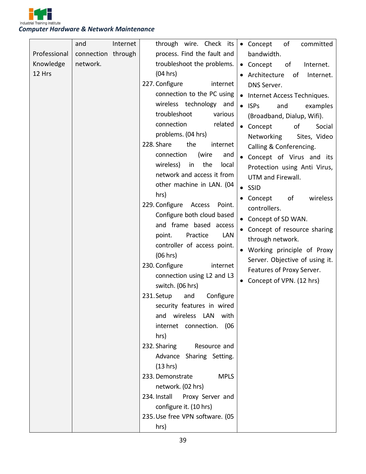

|              | and                | Internet | through wire. Check its            | • Concept<br>of<br>committed      |
|--------------|--------------------|----------|------------------------------------|-----------------------------------|
| Professional | connection through |          | process. Find the fault and        | bandwidth.                        |
| Knowledge    | network.           |          | troubleshoot the problems.         | • Concept<br>of<br>Internet.      |
| 12 Hrs       |                    |          | (04 hrs)                           | Architecture<br>of<br>Internet.   |
|              |                    |          | 227. Configure<br>internet         | DNS Server.                       |
|              |                    |          | connection to the PC using         | • Internet Access Techniques.     |
|              |                    |          | wireless technology and            | $\bullet$ ISPs<br>and<br>examples |
|              |                    |          | troubleshoot<br>various            | (Broadband, Dialup, Wifi).        |
|              |                    |          | connection<br>related              | • Concept<br>of<br>Social         |
|              |                    |          | problems. (04 hrs)                 | Sites, Video<br>Networking        |
|              |                    |          | 228. Share<br>the<br>internet      | Calling & Conferencing.           |
|              |                    |          | (wire<br>connection<br>and         | • Concept of Virus and its        |
|              |                    |          | the<br>wireless)<br>in<br>local    | Protection using Anti Virus,      |
|              |                    |          | network and access it from         | UTM and Firewall.                 |
|              |                    |          | other machine in LAN. (04          | $\bullet$ SSID                    |
|              |                    |          | hrs)                               | of<br>wireless<br>• Concept       |
|              |                    |          | 229. Configure<br>Access<br>Point. | controllers.                      |
|              |                    |          | Configure both cloud based         | • Concept of SD WAN.              |
|              |                    |          | and frame based access             | Concept of resource sharing       |
|              |                    |          | Practice<br>LAN<br>point.          | through network.                  |
|              |                    |          | controller of access point.        | • Working principle of Proxy      |
|              |                    |          | (06 hrs)                           | Server. Objective of using it.    |
|              |                    |          | 230. Configure<br>internet         | Features of Proxy Server.         |
|              |                    |          | connection using L2 and L3         | Concept of VPN. (12 hrs)          |
|              |                    |          | switch. (06 hrs)                   |                                   |
|              |                    |          | Configure<br>231. Setup<br>and     |                                   |
|              |                    |          | security features in wired         |                                   |
|              |                    |          | and wireless LAN with              |                                   |
|              |                    |          | internet connection. (06           |                                   |
|              |                    |          | hrs)                               |                                   |
|              |                    |          | 232. Sharing Resource and          |                                   |
|              |                    |          | Advance Sharing Setting.           |                                   |
|              |                    |          | (13 hrs)                           |                                   |
|              |                    |          | 233. Demonstrate<br><b>MPLS</b>    |                                   |
|              |                    |          | network. (02 hrs)                  |                                   |
|              |                    |          | 234. Install Proxy Server and      |                                   |
|              |                    |          | configure it. (10 hrs)             |                                   |
|              |                    |          | 235. Use free VPN software. (05    |                                   |
|              |                    |          | hrs)                               |                                   |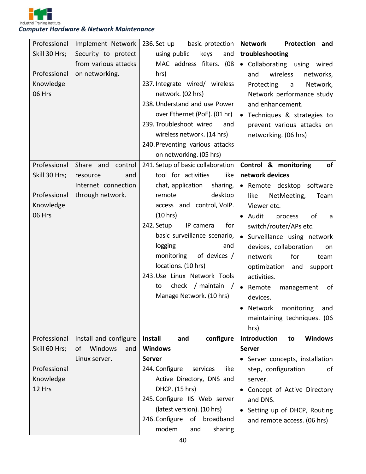

| Professional  | Implement Network     | 236. Set up<br>basic protection    | <b>Network</b><br>Protection and         |
|---------------|-----------------------|------------------------------------|------------------------------------------|
| Skill 30 Hrs; | Security to protect   | using public<br>keys<br>and        | troubleshooting                          |
|               | from various attacks  | MAC address filters. (08           | • Collaborating using wired              |
| Professional  | on networking.        | hrs)                               | wireless<br>and<br>networks,             |
| Knowledge     |                       | 237. Integrate wired/ wireless     | Protecting<br>Network,<br>$\overline{a}$ |
| 06 Hrs        |                       | network. (02 hrs)                  | Network performance study                |
|               |                       | 238. Understand and use Power      | and enhancement.                         |
|               |                       | over Ethernet (PoE). (01 hr)       | • Techniques & strategies to             |
|               |                       | 239. Troubleshoot wired<br>and     | prevent various attacks on               |
|               |                       | wireless network. (14 hrs)         | networking. (06 hrs)                     |
|               |                       | 240. Preventing various attacks    |                                          |
|               |                       | on networking. (05 hrs)            |                                          |
| Professional  | Share and control     | 241. Setup of basic collaboration  | Control & monitoring<br>of               |
| Skill 30 Hrs; | and<br>resource       | tool for activities<br>like        | network devices                          |
|               | Internet connection   | chat, application<br>sharing,      | • Remote desktop software                |
| Professional  | through network.      | desktop<br>remote                  | like<br>NetMeeting,<br>Team              |
| Knowledge     |                       | access and control, VoIP.          | Viewer etc.                              |
| 06 Hrs        |                       | (10 hrs)                           | • Audit<br>process<br>of<br>a            |
|               |                       | 242. Setup<br>IP camera<br>for     | switch/router/APs etc.                   |
|               |                       | basic surveillance scenario,       | • Surveillance using network             |
|               |                       | logging<br>and                     | devices, collaboration<br>on             |
|               |                       | monitoring<br>of devices /         | network<br>for<br>team                   |
|               |                       | locations. (10 hrs)                | optimization and<br>support              |
|               |                       | 243. Use Linux Network Tools       | activities.                              |
|               |                       | check / maintain<br>to             | • Remote<br>management<br>of             |
|               |                       | Manage Network. (10 hrs)           | devices.                                 |
|               |                       |                                    | monitoring<br>Network<br>and             |
|               |                       |                                    | maintaining techniques. (06              |
|               |                       |                                    | hrs)                                     |
| Professional  | Install and configure | Install<br>and<br>configure        | Introduction<br><b>Windows</b><br>to     |
| Skill 60 Hrs; | Windows<br>of<br>and  | <b>Windows</b>                     | <b>Server</b>                            |
|               | Linux server.         | <b>Server</b>                      | • Server concepts, installation          |
| Professional  |                       | 244. Configure<br>services<br>like | step, configuration<br>of                |
| Knowledge     |                       | Active Directory, DNS and          | server.                                  |
| 12 Hrs        |                       | DHCP. (15 hrs)                     | Concept of Active Directory              |
|               |                       | 245. Configure IIS Web server      | and DNS.                                 |
|               |                       | (latest version). (10 hrs)         | • Setting up of DHCP, Routing            |
|               |                       | 246. Configure<br>of broadband     | and remote access. (06 hrs)              |
|               |                       | modem<br>sharing<br>and            |                                          |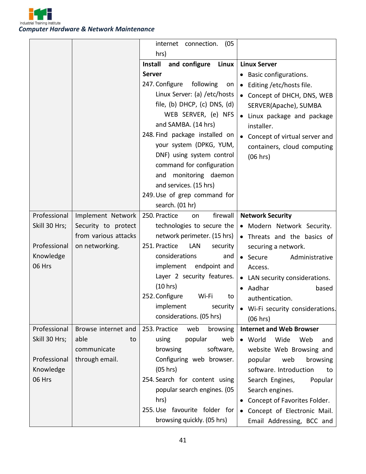

|               |                      | internet connection.<br>(05)             |                                       |
|---------------|----------------------|------------------------------------------|---------------------------------------|
|               |                      | hrs)                                     |                                       |
|               |                      | Linux<br><b>Install</b><br>and configure | <b>Linux Server</b>                   |
|               |                      | <b>Server</b>                            | Basic configurations.                 |
|               |                      | 247. Configure<br>following<br>on        | Editing /etc/hosts file.<br>$\bullet$ |
|               |                      | Linux Server: (a) / etc/hosts            | • Concept of DHCH, DNS, WEB           |
|               |                      | file, (b) DHCP, (c) DNS, (d)             | SERVER(Apache), SUMBA                 |
|               |                      | WEB SERVER, (e) NFS                      | Linux package and package             |
|               |                      | and SAMBA. (14 hrs)                      | installer.                            |
|               |                      | 248. Find package installed on           | • Concept of virtual server and       |
|               |                      | your system (DPKG, YUM,                  | containers, cloud computing           |
|               |                      | DNF) using system control                | (06 hrs)                              |
|               |                      | command for configuration                |                                       |
|               |                      | and monitoring daemon                    |                                       |
|               |                      | and services. (15 hrs)                   |                                       |
|               |                      | 249. Use of grep command for             |                                       |
|               |                      | search. (01 hr)                          |                                       |
| Professional  | Implement Network    | firewall<br>250. Practice<br>on          | <b>Network Security</b>               |
| Skill 30 Hrs; | Security to protect  | technologies to secure the               | • Modern Network Security.            |
|               | from various attacks | network perimeter. (15 hrs)              | Threats and the basics of             |
| Professional  | on networking.       | 251. Practice<br>LAN<br>security         | securing a network.                   |
| Knowledge     |                      | considerations<br>and                    | • Secure<br>Administrative            |
| 06 Hrs        |                      | implement endpoint and                   | Access.                               |
|               |                      | Layer 2 security features.               | • LAN security considerations.        |
|               |                      | (10 hrs)                                 | Aadhar<br>based<br>$\bullet$          |
|               |                      | 252. Configure<br>Wi-Fi<br>to            | authentication.                       |
|               |                      | implement<br>security                    | Wi-Fi security considerations.        |
|               |                      | considerations. (05 hrs)                 | (06 hrs)                              |
| Professional  | Browse internet and  | 253. Practice<br>web<br>browsing         | <b>Internet and Web Browser</b>       |
| Skill 30 Hrs; | able<br>to           | popular<br>using<br>web                  | • World<br>Wide<br>Web<br>and         |
|               | communicate          | browsing<br>software,                    | website Web Browsing and              |
| Professional  | through email.       | Configuring web browser.                 | popular<br>web<br>browsing            |
| Knowledge     |                      | (05 hrs)                                 | software. Introduction<br>to          |
| 06 Hrs        |                      | 254. Search for content using            | Search Engines,<br>Popular            |
|               |                      | popular search engines. (05              | Search engines.                       |
|               |                      | hrs)                                     | Concept of Favorites Folder.          |
|               |                      | 255. Use favourite folder for            | • Concept of Electronic Mail.         |
|               |                      | browsing quickly. (05 hrs)               | Email Addressing, BCC and             |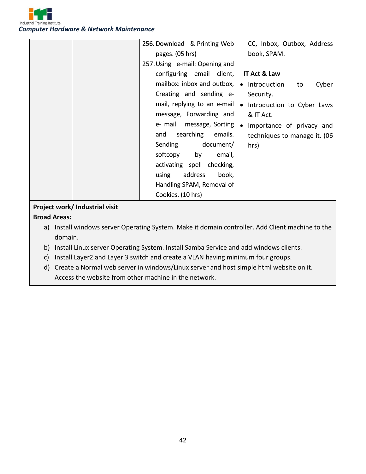

|                                | 256. Download & Printing Web    | CC, Inbox, Outbox, Address    |
|--------------------------------|---------------------------------|-------------------------------|
|                                | pages. (05 hrs)                 | book, SPAM.                   |
|                                | 257. Using e-mail: Opening and  |                               |
|                                | configuring email client,       | IT Act & Law                  |
|                                | mailbox: inbox and outbox,      | • Introduction<br>Cyber<br>to |
|                                | Creating and sending e-         | Security.                     |
|                                | mail, replying to an e-mail $ $ | • Introduction to Cyber Laws  |
|                                | message, Forwarding and         | & IT Act.                     |
|                                | e- mail message, Sorting        | • Importance of privacy and   |
|                                | searching<br>emails.<br>and     | techniques to manage it. (06  |
|                                | Sending<br>document/            | hrs)                          |
|                                | softcopy by<br>email,           |                               |
|                                | activating spell checking,      |                               |
|                                | address<br>using<br>book,       |                               |
|                                | Handling SPAM, Removal of       |                               |
|                                | Cookies. (10 hrs)               |                               |
| Project work/ Industrial visit |                                 |                               |

#### **Broad Areas:**

- a) Install windows server Operating System. Make it domain controller. Add Client machine to the domain.
- b) Install Linux server Operating System. Install Samba Service and add windows clients.
- c) Install Layer2 and Layer 3 switch and create a VLAN having minimum four groups.
- d) Create a Normal web server in windows/Linux server and host simple html website on it. Access the website from other machine in the network.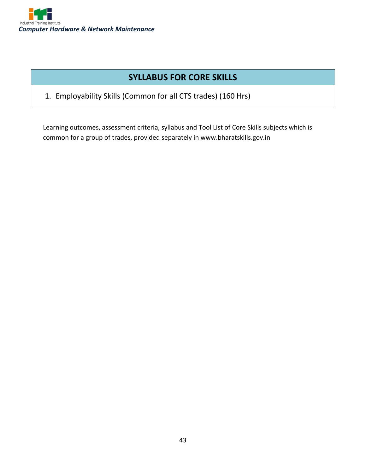

## **SYLLABUS FOR CORE SKILLS**

1. Employability Skills (Common for all CTS trades) (160 Hrs)

Learning outcomes, assessment criteria, syllabus and Tool List of Core Skills subjects which is common for a group of trades, provided separately in www.bharatskills.gov.in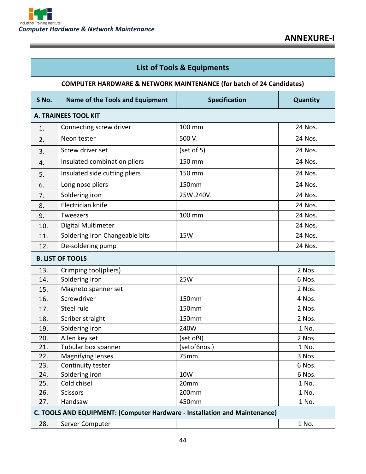E

| <b>List of Tools &amp; Equipments</b> |                                                                                 |                      |          |
|---------------------------------------|---------------------------------------------------------------------------------|----------------------|----------|
|                                       | <b>COMPUTER HARDWARE &amp; NETWORK MAINTENANCE (for batch of 24 Candidates)</b> |                      |          |
| S No.                                 | <b>Name of the Tools and Equipment</b>                                          | <b>Specification</b> | Quantity |
|                                       | <b>A. TRAINEES TOOL KIT</b>                                                     |                      |          |
| 1.                                    | Connecting screw driver                                                         | 100 mm               | 24 Nos.  |
| 2.                                    | Neon tester                                                                     | 500 V.               | 24 Nos.  |
| 3.                                    | Screw driver set                                                                | (set of 5)           | 24 Nos.  |
| 4.                                    | Insulated combination pliers                                                    | 150 mm               | 24 Nos.  |
| 5.                                    | Insulated side cutting pliers                                                   | 150 mm               | 24 Nos.  |
| 6.                                    | Long nose pliers                                                                | <b>150mm</b>         | 24 Nos.  |
| 7.                                    | Soldering iron                                                                  | 25W.240V.            | 24 Nos.  |
| 8.                                    | Electrician knife                                                               |                      | 24 Nos.  |
| 9.                                    | <b>Tweezers</b>                                                                 | 100 mm               | 24 Nos.  |
| 10.                                   | Digital Multimeter                                                              |                      | 24 Nos.  |
| 11.                                   | Soldering Iron Changeable bits                                                  | <b>15W</b>           | 24 Nos.  |
| 12.                                   | De-soldering pump                                                               |                      | 24 Nos.  |
|                                       | <b>B. LIST OF TOOLS</b>                                                         |                      |          |
| 13.                                   | Crimping tool(pliers)                                                           |                      | 2 Nos.   |
| 14.                                   | Soldering Iron                                                                  | <b>25W</b>           | 6 Nos.   |
| 15.                                   | Magneto spanner set                                                             |                      | 2 Nos.   |
| 16.                                   | Screwdriver                                                                     | 150mm                | 4 Nos.   |
| 17.                                   | Steel rule                                                                      | 150mm                | 2 Nos.   |
| 18.                                   | Scriber straight                                                                | 150mm                | 2 Nos.   |
| 19.                                   | Soldering Iron                                                                  | 240W                 | 1 No.    |
| 20.                                   | Allen key set                                                                   | (set of9)            | 2 Nos.   |
| 21.                                   | Tubular box spanner                                                             | (setof6nos.)         | 1 No.    |
| 22.                                   | Magnifying lenses                                                               | 75mm                 | 3 Nos.   |
| 23.                                   | Continuity tester                                                               |                      | 6 Nos.   |
| 24.                                   | Soldering iron                                                                  | 10W                  | 6 Nos.   |
| 25.                                   | Cold chisel                                                                     | 20mm                 | 1 No.    |
| 26.                                   | <b>Scissors</b>                                                                 | 200mm                | 1 No.    |
| 27.                                   | Handsaw                                                                         | 450mm                | 1 No.    |
|                                       | C. TOOLS AND EQUIPMENT: (Computer Hardware - Installation and Maintenance)      |                      |          |
| 28.                                   | Server Computer                                                                 |                      | 1 No.    |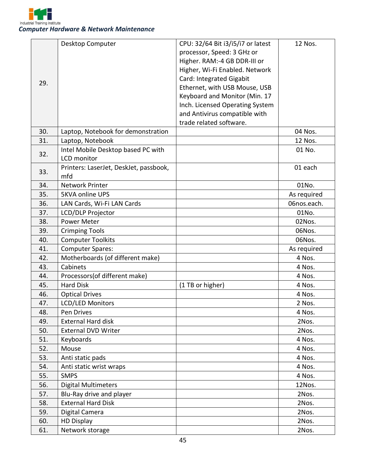

|     | Desktop Computer                                  | CPU: 32/64 Bit i3/i5/i7 or latest | 12 Nos.     |
|-----|---------------------------------------------------|-----------------------------------|-------------|
|     |                                                   | processor, Speed: 3 GHz or        |             |
|     |                                                   | Higher. RAM:-4 GB DDR-III or      |             |
|     |                                                   | Higher, Wi-Fi Enabled. Network    |             |
|     |                                                   | Card: Integrated Gigabit          |             |
| 29. |                                                   | Ethernet, with USB Mouse, USB     |             |
|     |                                                   | Keyboard and Monitor (Min. 17     |             |
|     |                                                   | Inch. Licensed Operating System   |             |
|     |                                                   | and Antivirus compatible with     |             |
|     |                                                   | trade related software.           |             |
| 30. | Laptop, Notebook for demonstration                |                                   | 04 Nos.     |
| 31. | Laptop, Notebook                                  |                                   | 12 Nos.     |
|     | Intel Mobile Desktop based PC with                |                                   | 01 No.      |
| 32. | <b>LCD</b> monitor                                |                                   |             |
|     | Printers: LaserJet, DeskJet, passbook,            |                                   | 01 each     |
| 33. | mfd                                               |                                   |             |
| 34. | <b>Network Printer</b>                            |                                   | 01No.       |
| 35. | <b>5KVA online UPS</b>                            |                                   | As required |
| 36. | LAN Cards, Wi-Fi LAN Cards                        |                                   | 06nos.each. |
| 37. | LCD/DLP Projector                                 |                                   | 01No.       |
| 38. | Power Meter                                       |                                   | 02Nos.      |
| 39. | <b>Crimping Tools</b>                             |                                   | 06Nos.      |
| 40. | <b>Computer Toolkits</b>                          |                                   | 06Nos.      |
| 41. |                                                   |                                   |             |
|     | <b>Computer Spares:</b>                           |                                   | As required |
| 42. | Motherboards (of different make)                  |                                   | 4 Nos.      |
| 43. | Cabinets                                          |                                   | 4 Nos.      |
| 44. | Processors(of different make)<br><b>Hard Disk</b> |                                   | 4 Nos.      |
| 45. |                                                   | (1 TB or higher)                  | 4 Nos.      |
| 46. | <b>Optical Drives</b>                             |                                   | 4 Nos.      |
| 47. | <b>LCD/LED Monitors</b>                           |                                   | 2 Nos.      |
| 48. | Pen Drives                                        |                                   | 4 Nos.      |
| 49. | <b>External Hard disk</b>                         |                                   | 2Nos.       |
| 50. | <b>External DVD Writer</b>                        |                                   | 2Nos.       |
| 51. | Keyboards                                         |                                   | 4 Nos.      |
| 52. | Mouse                                             |                                   | 4 Nos.      |
| 53. | Anti static pads                                  |                                   | 4 Nos.      |
| 54. | Anti static wrist wraps                           |                                   | 4 Nos.      |
| 55. | <b>SMPS</b>                                       |                                   | 4 Nos.      |
| 56. | <b>Digital Multimeters</b>                        |                                   | 12Nos.      |
| 57. | Blu-Ray drive and player                          |                                   | 2Nos.       |
| 58. | <b>External Hard Disk</b>                         |                                   | 2Nos.       |
| 59. | Digital Camera                                    |                                   | 2Nos.       |
| 60. | <b>HD Display</b>                                 |                                   | 2Nos.       |
| 61. | Network storage                                   |                                   | 2Nos.       |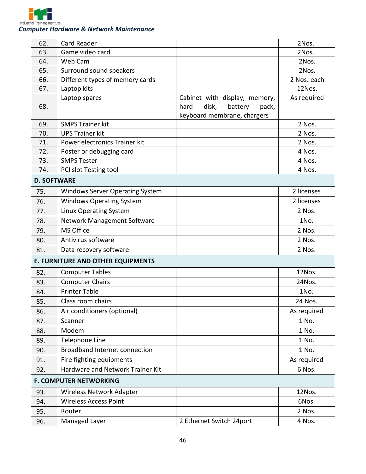

| 62.                | <b>Card Reader</b>                     |                                   | 2Nos.       |
|--------------------|----------------------------------------|-----------------------------------|-------------|
| 63.                | Game video card                        |                                   | 2Nos.       |
| 64.                | Web Cam                                |                                   | 2Nos.       |
| 65.                | Surround sound speakers                |                                   | 2Nos.       |
| 66.                | Different types of memory cards        |                                   | 2 Nos. each |
| 67.                | Laptop kits                            |                                   | 12Nos.      |
|                    | Laptop spares                          | Cabinet with display, memory,     | As required |
| 68.                |                                        | disk,<br>hard<br>battery<br>pack, |             |
|                    |                                        | keyboard membrane, chargers       |             |
| 69.                | <b>SMPS Trainer kit</b>                |                                   | 2 Nos.      |
| 70.                | <b>UPS Trainer kit</b>                 |                                   | 2 Nos.      |
| 71.                | Power electronics Trainer kit          |                                   | 2 Nos.      |
| 72.                | Poster or debugging card               |                                   | 4 Nos.      |
| 73.                | <b>SMPS Tester</b>                     |                                   | 4 Nos.      |
| 74.                | PCI slot Testing tool                  |                                   | 4 Nos.      |
| <b>D. SOFTWARE</b> |                                        |                                   |             |
| 75.                | <b>Windows Server Operating System</b> |                                   | 2 licenses  |
| 76.                | <b>Windows Operating System</b>        |                                   | 2 licenses  |
| 77.                | Linux Operating System                 |                                   | 2 Nos.      |
| 78.                | Network Management Software            |                                   | 1No.        |
| 79.                | MS Office                              |                                   | 2 Nos.      |
| 80.                | Antivirus software                     |                                   | 2 Nos.      |
| 81.                | Data recovery software                 |                                   | 2 Nos.      |
|                    | E. FURNITURE AND OTHER EQUIPMENTS      |                                   |             |
| 82.                | <b>Computer Tables</b>                 |                                   | 12Nos.      |
| 83.                | <b>Computer Chairs</b>                 |                                   | 24Nos.      |
| 84.                | <b>Printer Table</b>                   |                                   | 1No.        |
| 85.                | Class room chairs                      |                                   | 24 Nos.     |
| 86.                | Air conditioners (optional)            |                                   | As required |
| 87.                | Scanner                                |                                   | 1 No.       |
| 88.                | Modem                                  |                                   | 1 No.       |
| 89.                | Telephone Line                         |                                   | 1 No.       |
| 90.                | Broadband Internet connection          |                                   | 1 No.       |
| 91.                | Fire fighting equipments               |                                   | As required |
| 92.                | Hardware and Network Trainer Kit       |                                   | 6 Nos.      |
|                    | <b>F. COMPUTER NETWORKING</b>          |                                   |             |
| 93.                | Wireless Network Adapter               |                                   | 12Nos.      |
| 94.                | <b>Wireless Access Point</b>           |                                   | 6Nos.       |
| 95.                | Router                                 |                                   | 2 Nos.      |
| 96.                | Managed Layer                          | 2 Ethernet Switch 24port          | 4 Nos.      |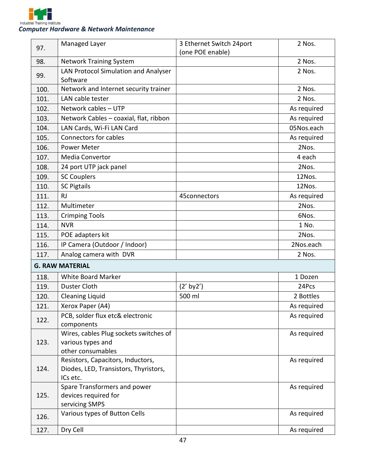

| 97.  | Managed Layer                                                                          | 3 Ethernet Switch 24port | 2 Nos.      |
|------|----------------------------------------------------------------------------------------|--------------------------|-------------|
|      |                                                                                        | (one POE enable)         |             |
| 98.  | <b>Network Training System</b>                                                         |                          | 2 Nos.      |
| 99.  | LAN Protocol Simulation and Analyser<br>Software                                       |                          | 2 Nos.      |
| 100. | Network and Internet security trainer                                                  |                          | 2 Nos.      |
| 101. | LAN cable tester                                                                       |                          | 2 Nos.      |
| 102. | Network cables - UTP                                                                   |                          | As required |
| 103. | Network Cables - coaxial, flat, ribbon                                                 |                          | As required |
| 104. | LAN Cards, Wi-Fi LAN Card                                                              |                          | 05Nos.each  |
| 105. | <b>Connectors for cables</b>                                                           |                          | As required |
| 106. | Power Meter                                                                            |                          | 2Nos.       |
| 107. | <b>Media Convertor</b>                                                                 |                          | 4 each      |
| 108. | 24 port UTP jack panel                                                                 |                          | 2Nos.       |
| 109. | <b>SC Couplers</b>                                                                     |                          | 12Nos.      |
| 110. | <b>SC Pigtails</b>                                                                     |                          | 12Nos.      |
| 111. | RJ                                                                                     | 45connectors             | As required |
| 112. | Multimeter                                                                             |                          | 2Nos.       |
| 113. | <b>Crimping Tools</b>                                                                  |                          | 6Nos.       |
| 114. | <b>NVR</b>                                                                             |                          | 1 No.       |
| 115. | POE adapters kit                                                                       |                          | 2Nos.       |
| 116. | IP Camera (Outdoor / Indoor)                                                           |                          | 2Nos.each   |
| 117. | Analog camera with DVR                                                                 |                          | 2 Nos.      |
|      | <b>G. RAW MATERIAL</b>                                                                 |                          |             |
| 118. | <b>White Board Marker</b>                                                              |                          | 1 Dozen     |
| 119. | Duster Cloth                                                                           | $(2'$ by $2')$           | 24Pcs       |
| 120. | <b>Cleaning Liquid</b>                                                                 | 500 ml                   | 2 Bottles   |
| 121. | Xerox Paper (A4)                                                                       |                          | As required |
| 122. | PCB, solder flux etc& electronic<br>components                                         |                          | As required |
| 123. | Wires, cables Plug sockets switches of<br>various types and<br>other consumables       |                          | As required |
| 124. | Resistors, Capacitors, Inductors,<br>Diodes, LED, Transistors, Thyristors,<br>ICs etc. |                          | As required |
| 125. | Spare Transformers and power<br>devices required for<br>servicing SMPS                 |                          | As required |
| 126. | Various types of Button Cells                                                          |                          | As required |
| 127. | Dry Cell                                                                               |                          | As required |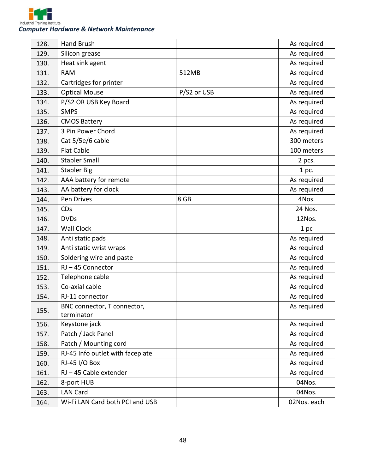

| 128. | <b>Hand Brush</b>                         |             | As required |
|------|-------------------------------------------|-------------|-------------|
| 129. | Silicon grease                            |             | As required |
| 130. | Heat sink agent                           |             | As required |
| 131. | <b>RAM</b>                                | 512MB       | As required |
| 132. | Cartridges for printer                    |             | As required |
| 133. | <b>Optical Mouse</b>                      | P/S2 or USB | As required |
| 134. | P/S2 OR USB Key Board                     |             | As required |
| 135. | <b>SMPS</b>                               |             | As required |
| 136. | <b>CMOS Battery</b>                       |             | As required |
| 137. | 3 Pin Power Chord                         |             | As required |
| 138. | Cat 5/5e/6 cable                          |             | 300 meters  |
| 139. | <b>Flat Cable</b>                         |             | 100 meters  |
| 140. | <b>Stapler Small</b>                      |             | 2 pcs.      |
| 141. | <b>Stapler Big</b>                        |             | 1 pc.       |
| 142. | AAA battery for remote                    |             | As required |
| 143. | AA battery for clock                      |             | As required |
| 144. | Pen Drives                                | 8 GB        | 4Nos.       |
| 145. | CDs                                       |             | 24 Nos.     |
| 146. | <b>DVDs</b>                               |             | 12Nos.      |
| 147. | <b>Wall Clock</b>                         |             | 1 pc        |
| 148. | Anti static pads                          |             | As required |
| 149. | Anti static wrist wraps                   |             | As required |
| 150. | Soldering wire and paste                  |             | As required |
| 151. | RJ-45 Connector                           |             | As required |
| 152. | Telephone cable                           |             | As required |
| 153. | Co-axial cable                            |             | As required |
| 154. | RJ-11 connector                           |             | As required |
| 155. | BNC connector, T connector,<br>terminator |             | As required |
| 156. | Keystone jack                             |             | As required |
| 157. | Patch / Jack Panel                        |             | As required |
| 158. | Patch / Mounting cord                     |             | As required |
| 159. | RJ-45 Info outlet with faceplate          |             | As required |
| 160. | RJ-45 I/O Box                             |             | As required |
| 161. | RJ - 45 Cable extender                    |             | As required |
| 162. | 8-port HUB                                |             | 04Nos.      |
| 163. | <b>LAN Card</b>                           |             | 04Nos.      |
| 164. | Wi-Fi LAN Card both PCI and USB           |             | 02Nos. each |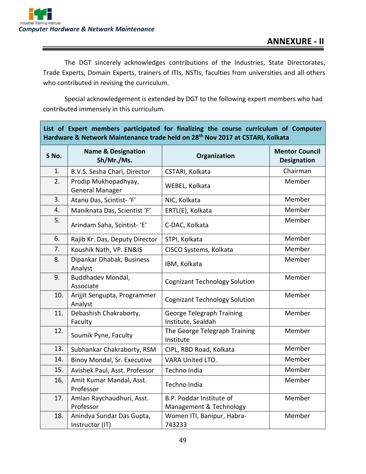The DGT sincerely acknowledges contributions of the Industries, State Directorates, Trade Experts, Domain Experts, trainers of ITIs, NSTIs, faculties from universities and all others who contributed in revising the curriculum.

Special acknowledgement is extended by DGT to the following expert members who had contributed immensely in this curriculum.

| List of Expert members participated for finalizing the course curriculum of Computer<br>Hardware & Network Maintenance trade held on 28 <sup>th</sup> Nov 2017 at CSTARI, Kolkata |                                                |                                                        |                                             |  |
|-----------------------------------------------------------------------------------------------------------------------------------------------------------------------------------|------------------------------------------------|--------------------------------------------------------|---------------------------------------------|--|
| S No.                                                                                                                                                                             | <b>Name &amp; Designation</b><br>Sh/Mr./Ms.    | Organization                                           | <b>Mentor Council</b><br><b>Designation</b> |  |
| 1.                                                                                                                                                                                | B.V.S. Sesha Chari, Director                   | CSTARI, Kolkata                                        | Chairman                                    |  |
| 2.                                                                                                                                                                                | Prodip Mukhopadhyay,<br><b>General Manager</b> | WEBEL, Kolkata                                         | Member                                      |  |
| 3.                                                                                                                                                                                | Atanu Das, Scintist- 'F'                       | NIC, Kolkata                                           | Member                                      |  |
| 4.                                                                                                                                                                                | Maniknata Das, Scientist 'F'                   | ERTL(E), Kolkata                                       | Member                                      |  |
| 5.                                                                                                                                                                                | Arindam Saha, Scintist- 'E'                    | C-DAC, Kolkata                                         | Member                                      |  |
| 6.                                                                                                                                                                                | Rajib Kr. Das, Deputy Director                 | STPI, Kolkata                                          | Member                                      |  |
| 7.                                                                                                                                                                                | Koushik Nath, VP. EN&IS                        | CISCO Systems, Kolkata                                 | Member                                      |  |
| 8.                                                                                                                                                                                | Dipankar Dhabak, Business<br>Analyst           | IBM, Kolkata                                           | Member                                      |  |
| 9.                                                                                                                                                                                | Buddhadev Mondal,<br>Associate                 | <b>Cognizant Technology Solution</b>                   | Member                                      |  |
| 10.                                                                                                                                                                               | Arijjit Sengupta, Programmer<br>Analyst        | <b>Cognizant Technology Solution</b>                   | Member                                      |  |
| 11.                                                                                                                                                                               | Debashish Chakraborty,<br>Faculty              | <b>George Telegraph Training</b><br>Institute, Sealdah | Member                                      |  |
| 12.                                                                                                                                                                               | Soumik Pyne, Faculty                           | The George Telegraph Training<br>Institute             | Member                                      |  |
| 13.                                                                                                                                                                               | Subhankar Chakraborty, RSM                     | CIPL, RBD Road, Kolkata                                | Member                                      |  |
| 14.                                                                                                                                                                               | Binoy Mondal, Sr. Executive                    | <b>VARA United LTD.</b>                                | Member                                      |  |
| 15.                                                                                                                                                                               | Avishek Paul, Asst. Professor                  | Techno India                                           | Member                                      |  |
| 16.                                                                                                                                                                               | Amit Kumar Mandal, Asst.<br>Professor          | Techno India                                           | Member                                      |  |
| 17.                                                                                                                                                                               | Amlan Raychaudhuri, Asst.<br>Professor         | B.P. Poddar Institute of<br>Management & Technology    | Member                                      |  |
| 18.                                                                                                                                                                               | Anindya Sundar Das Gupta,<br>Instructor (IT)   | Women ITI, Banipur, Habra-<br>743233                   | Member                                      |  |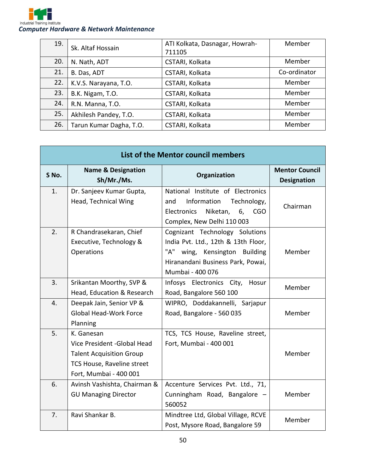

| 19. | Sk. Altaf Hossain       | ATI Kolkata, Dasnagar, Howrah- | Member       |
|-----|-------------------------|--------------------------------|--------------|
|     |                         | 711105                         |              |
| 20. | N. Nath, ADT            | CSTARI, Kolkata                | Member       |
| 21. | B. Das, ADT             | CSTARI, Kolkata                | Co-ordinator |
| 22. | K.V.S. Narayana, T.O.   | CSTARI, Kolkata                | Member       |
| 23. | B.K. Nigam, T.O.        | CSTARI, Kolkata                | Member       |
| 24. | R.N. Manna, T.O.        | CSTARI, Kolkata                | Member       |
| 25. | Akhilesh Pandey, T.O.   | CSTARI, Kolkata                | Member       |
| 26. | Tarun Kumar Dagha, T.O. | CSTARI, Kolkata                | Member       |

| List of the Mentor council members |                                                                                                                                       |                                                                                                                                                                    |                                             |
|------------------------------------|---------------------------------------------------------------------------------------------------------------------------------------|--------------------------------------------------------------------------------------------------------------------------------------------------------------------|---------------------------------------------|
| S No.                              | <b>Name &amp; Designation</b><br>Sh/Mr./Ms.                                                                                           | Organization                                                                                                                                                       | <b>Mentor Council</b><br><b>Designation</b> |
| 1.                                 | Dr. Sanjeev Kumar Gupta,<br>Head, Technical Wing                                                                                      | National Institute of Electronics<br>Information<br>Technology,<br>and<br>Niketan,<br>Electronics<br>6,<br><b>CGO</b><br>Complex, New Delhi 110 003                | Chairman                                    |
| 2.                                 | R Chandrasekaran, Chief<br>Executive, Technology &<br>Operations                                                                      | Cognizant Technology Solutions<br>India Pvt. Ltd., 12th & 13th Floor,<br>"A"<br>wing, Kensington Building<br>Hiranandani Business Park, Powai,<br>Mumbai - 400 076 | Member                                      |
| 3.                                 | Srikantan Moorthy, SVP &<br>Head, Education & Research                                                                                | Infosys Electronics City,<br>Hosur<br>Road, Bangalore 560 100                                                                                                      | Member                                      |
| 4.                                 | Deepak Jain, Senior VP &<br><b>Global Head-Work Force</b><br>Planning                                                                 | WIPRO, Doddakannelli, Sarjapur<br>Road, Bangalore - 560 035                                                                                                        | Member                                      |
| 5.                                 | K. Ganesan<br>Vice President - Global Head<br><b>Talent Acquisition Group</b><br>TCS House, Raveline street<br>Fort, Mumbai - 400 001 | TCS, TCS House, Raveline street,<br>Fort, Mumbai - 400 001                                                                                                         | Member                                      |
| 6.                                 | Avinsh Vashishta, Chairman &<br><b>GU Managing Director</b>                                                                           | Accenture Services Pvt. Ltd., 71,<br>Cunningham Road, Bangalore -<br>560052                                                                                        | Member                                      |
| 7.                                 | Ravi Shankar B.                                                                                                                       | Mindtree Ltd, Global Village, RCVE<br>Post, Mysore Road, Bangalore 59                                                                                              | Member                                      |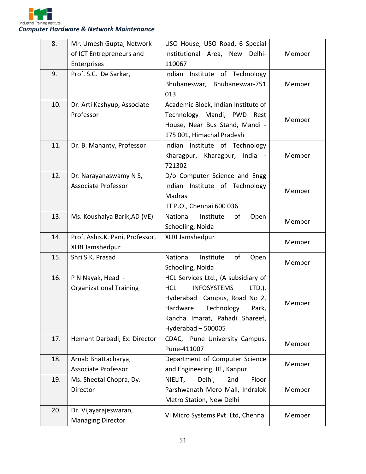

| 8.  | Mr. Umesh Gupta, Network        | USO House, USO Road, 6 Special                |        |
|-----|---------------------------------|-----------------------------------------------|--------|
|     | of ICT Entrepreneurs and        | Institutional Area, New<br>Delhi-             | Member |
|     | Enterprises                     | 110067                                        |        |
| 9.  | Prof. S.C. De Sarkar,           | Indian Institute of Technology                |        |
|     |                                 | Bhubaneswar, Bhubaneswar-751                  | Member |
|     |                                 | 013                                           |        |
| 10. | Dr. Arti Kashyup, Associate     | Academic Block, Indian Institute of           |        |
|     | Professor                       | Technology Mandi, PWD<br>Rest                 | Member |
|     |                                 | House, Near Bus Stand, Mandi -                |        |
|     |                                 | 175 001, Himachal Pradesh                     |        |
| 11. | Dr. B. Mahanty, Professor       | Indian Institute of Technology                |        |
|     |                                 | Kharagpur, Kharagpur, India -                 | Member |
|     |                                 | 721302                                        |        |
| 12. | Dr. Narayanaswamy N S,          | D/o Computer Science and Engg                 |        |
|     | <b>Associate Professor</b>      | Indian Institute of Technology                | Member |
|     |                                 | Madras                                        |        |
|     |                                 | IIT P.O., Chennai 600 036                     |        |
| 13. | Ms. Koushalya Barik, AD (VE)    | National<br>Institute<br>of<br>Open           | Member |
|     |                                 | Schooling, Noida                              |        |
| 14. | Prof. Ashis.K. Pani, Professor, | XLRI Jamshedpur                               | Member |
|     | XLRI Jamshedpur                 |                                               |        |
| 15. | Shri S.K. Prasad                | National<br>of<br>Institute<br>Open           | Member |
|     |                                 | Schooling, Noida                              |        |
| 16. | P N Nayak, Head -               | HCL Services Ltd., (A subsidiary of           |        |
|     | <b>Organizational Training</b>  | <b>HCL</b><br><b>INFOSYSTEMS</b><br>$LTD.$ ), |        |
|     |                                 | Hyderabad Campus, Road No 2,                  | Member |
|     |                                 | Technology<br>Hardware<br>Park,               |        |
|     |                                 | Kancha Imarat, Pahadi Shareef,                |        |
|     |                                 | Hyderabad - 500005                            |        |
| 17. | Hemant Darbadi, Ex. Director    | CDAC, Pune University Campus,                 | Member |
|     |                                 | Pune-411007                                   |        |
| 18. | Arnab Bhattacharya,             | Department of Computer Science                | Member |
|     | <b>Associate Professor</b>      | and Engineering, IIT, Kanpur                  |        |
| 19. | Ms. Sheetal Chopra, Dy.         | Floor<br>NIELIT,<br>Delhi,<br>2nd             |        |
|     | Director                        | Parshwanath Mero Mall, Indralok               | Member |
|     |                                 | Metro Station, New Delhi                      |        |
| 20. | Dr. Vijayarajeswaran,           | VI Micro Systems Pvt. Ltd, Chennai            | Member |
|     | <b>Managing Director</b>        |                                               |        |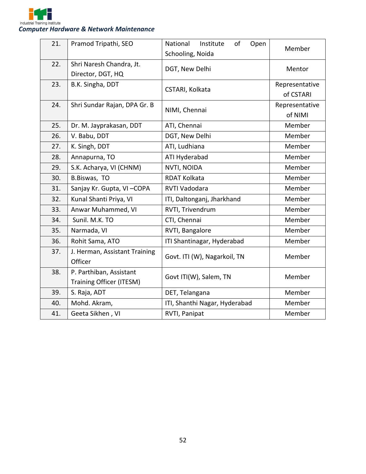

| 21. | Pramod Tripathi, SEO                                       | National<br>Institute<br>of<br>Open<br>Schooling, Noida | Member                      |
|-----|------------------------------------------------------------|---------------------------------------------------------|-----------------------------|
| 22. | Shri Naresh Chandra, Jt.<br>Director, DGT, HQ              | DGT, New Delhi                                          | Mentor                      |
| 23. | B.K. Singha, DDT                                           | CSTARI, Kolkata                                         | Representative<br>of CSTARI |
| 24. | Shri Sundar Rajan, DPA Gr. B                               | NIMI, Chennai                                           | Representative<br>of NIMI   |
| 25. | Dr. M. Jayprakasan, DDT                                    | ATI, Chennai                                            | Member                      |
| 26. | V. Babu, DDT                                               | DGT, New Delhi                                          | Member                      |
| 27. | K. Singh, DDT                                              | ATI, Ludhiana                                           | Member                      |
| 28. | Annapurna, TO                                              | ATI Hyderabad                                           | Member                      |
| 29. | S.K. Acharya, VI (CHNM)                                    | NVTI, NOIDA                                             | Member                      |
| 30. | B.Biswas, TO                                               | <b>RDAT Kolkata</b>                                     | Member                      |
| 31. | Sanjay Kr. Gupta, VI-COPA                                  | RVTI Vadodara                                           | Member                      |
| 32. | Kunal Shanti Priya, VI                                     | ITI, Daltonganj, Jharkhand                              | Member                      |
| 33. | Anwar Muhammed, VI                                         | RVTI, Trivendrum                                        | Member                      |
| 34. | Sunil. M.K. TO                                             | CTI, Chennai                                            | Member                      |
| 35. | Narmada, VI                                                | RVTI, Bangalore                                         | Member                      |
| 36. | Rohit Sama, ATO                                            | ITI Shantinagar, Hyderabad                              | Member                      |
| 37. | J. Herman, Assistant Training<br>Officer                   | Govt. ITI (W), Nagarkoil, TN                            | Member                      |
| 38. | P. Parthiban, Assistant<br><b>Training Officer (ITESM)</b> | Govt ITI(W), Salem, TN                                  | Member                      |
| 39. | S. Raja, ADT                                               | DET, Telangana                                          | Member                      |
| 40. | Mohd. Akram,                                               | ITI, Shanthi Nagar, Hyderabad                           | Member                      |
| 41. | Geeta Sikhen, VI                                           | RVTI, Panipat                                           | Member                      |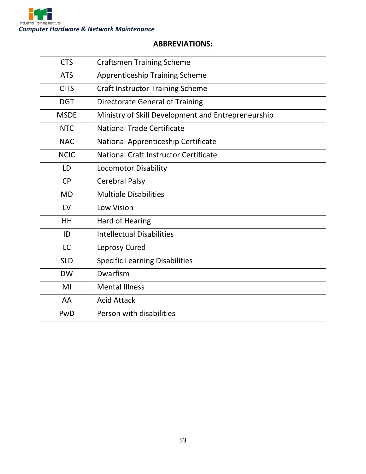

#### **ABBREVIATIONS:**

| <b>CTS</b>  | <b>Craftsmen Training Scheme</b>                   |
|-------------|----------------------------------------------------|
| <b>ATS</b>  | <b>Apprenticeship Training Scheme</b>              |
| <b>CITS</b> | <b>Craft Instructor Training Scheme</b>            |
| <b>DGT</b>  | <b>Directorate General of Training</b>             |
| <b>MSDE</b> | Ministry of Skill Development and Entrepreneurship |
| <b>NTC</b>  | <b>National Trade Certificate</b>                  |
| <b>NAC</b>  | National Apprenticeship Certificate                |
| <b>NCIC</b> | National Craft Instructor Certificate              |
| LD          | <b>Locomotor Disability</b>                        |
| <b>CP</b>   | <b>Cerebral Palsy</b>                              |
| <b>MD</b>   | <b>Multiple Disabilities</b>                       |
| LV          | <b>Low Vision</b>                                  |
| HH          | <b>Hard of Hearing</b>                             |
| ID          | <b>Intellectual Disabilities</b>                   |
| <b>LC</b>   | Leprosy Cured                                      |
| <b>SLD</b>  | <b>Specific Learning Disabilities</b>              |
| <b>DW</b>   | Dwarfism                                           |
| MI          | <b>Mental Illness</b>                              |
| AA          | <b>Acid Attack</b>                                 |
| PwD         | Person with disabilities                           |